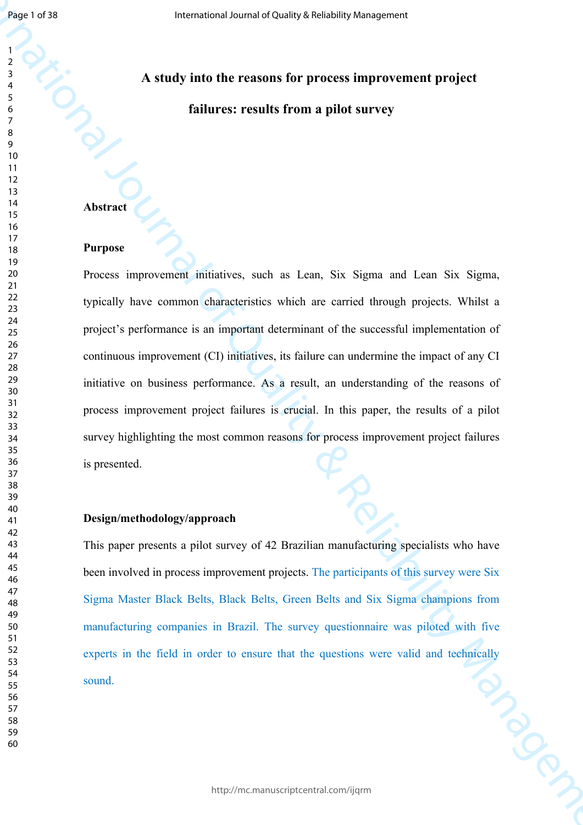# **A study into the reasons for process improvement project failures: results from a pilot survey**

## **Abstract**

### **Purpose**

International Journal of Quality & Reliability Management Process improvement initiatives, such as Lean, Six Sigma and Lean Six Sigma, typically have common characteristics which are carried through projects. Whilst a project's performance is an important determinant of the successful implementation of continuous improvement (CI) initiatives, its failure can undermine the impact of any CI initiative on business performance. As a result, an understanding of the reasons of process improvement project failures is crucial. In this paper, the results of a pilot survey highlighting the most common reasons for process improvement project failures is presented.

## **Design/methodology/approach**

This paper presents a pilot survey of 42 Brazilian manufacturing specialists who have been involved in process improvement projects. The participants of this survey were Six Sigma Master Black Belts, Black Belts, Green Belts and Six Sigma champions from manufacturing companies in Brazil. The survey questionnaire was piloted with five experts in the field in order to ensure that the questions were valid and technically sound. sound.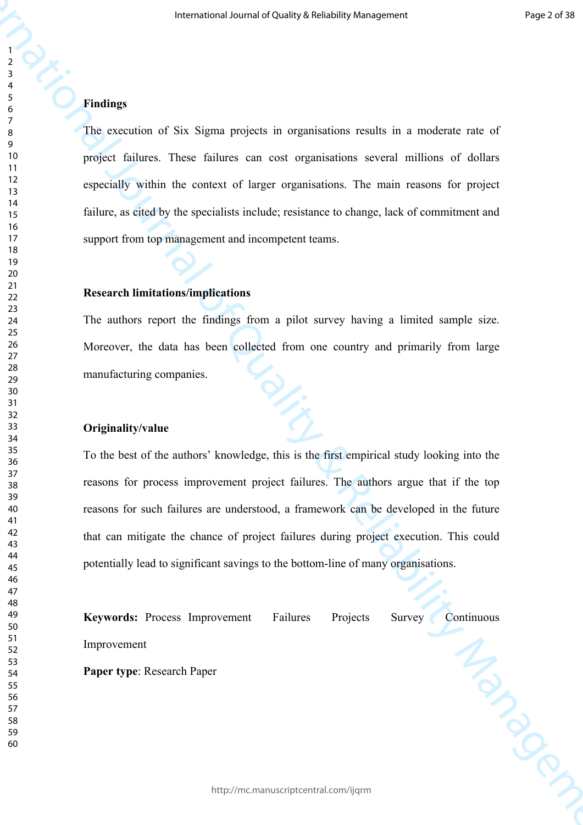## **Findings**

The execution of Six Sigma projects in organisations results in a moderate rate of project failures. These failures can cost organisations several millions of dollars especially within the context of larger organisations. The main reasons for project failure, as cited by the specialists include; resistance to change, lack of commitment and support from top management and incompetent teams.

## **Research limitations/implications**

The authors report the findings from a pilot survey having a limited sample size. Moreover, the data has been collected from one country and primarily from large manufacturing companies.

## **Originality/value**

**International of Strained Screen of Strained Screen of Strained Strained Strained Strained Strained Strained Strained Strained Strained Strained Strained Strained Strained Strained Strained Strained Strained Strained Str** To the best of the authors' knowledge, this is the first empirical study looking into the reasons for process improvement project failures. The authors argue that if the top reasons for such failures are understood, a framework can be developed in the future that can mitigate the chance of project failures during project execution. This could potentially lead to significant savings to the bottom-line of many organisations.

Keywords: Process Improvement Failures Projects Survey Continuous<br>Improvement<br>Paper type: Research Paper Improvement

**Paper type**: Research Paper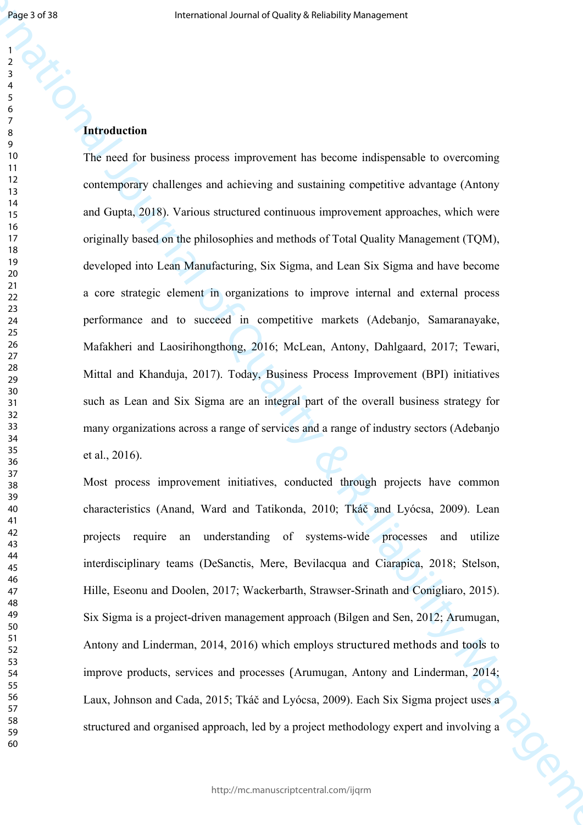**International occurs of Auditor** Second Exploration (Second Engloration Constraining)<br> **International Constraining**<br> **International occurs introduced in the second international original of the Constraining and Constrain** The need for business process improvement has become indispensable to overcoming contemporary challenges and achieving and sustaining competitive advantage (Antony and Gupta, 2018). Various structured continuous improvement approaches, which were originally based on the philosophies and methods of Total Quality Management (TQM), developed into Lean Manufacturing, Six Sigma, and Lean Six Sigma and have become a core strategic element in organizations to improve internal and external process performance and to succeed in competitive markets (Adebanjo, Samaranayake, Mafakheri and Laosirihongthong, 2016; McLean, Antony, Dahlgaard, 2017; Tewari, Mittal and Khanduja, 2017). Today, Business Process Improvement (BPI) initiatives such as Lean and Six Sigma are an integral part of the overall business strategy for many organizations across a range of services and a range of industry sectors (Adebanjo et al., 2016).

Most process improvement initiatives, conducted through projects have common characteristics (Anand, Ward and Tatikonda, 2010; Tkáč and Lyócsa, 2009). Lean projects require an understanding of systems-wide processes and utilize interdisciplinary teams (DeSanctis, Mere, Bevilacqua and Ciarapica, 2018; Stelson, Hille, Eseonu and Doolen, 2017; Wackerbarth, Strawser-Srinath and Conigliaro, 2015). Six Sigma is a project-driven management approach (Bilgen and Sen, 2012; Arumugan, Antony and Linderman, 2014, 2016) which employs structured methods and tools to improve products, services and processes (Arumugan, Antony and Linderman, 2014; Laux, Johnson and Cada, 2015; Tkáč and Lyócsa, 2009). Each Six Sigma project uses a structured and organised approach, led by a project methodology expert and involving a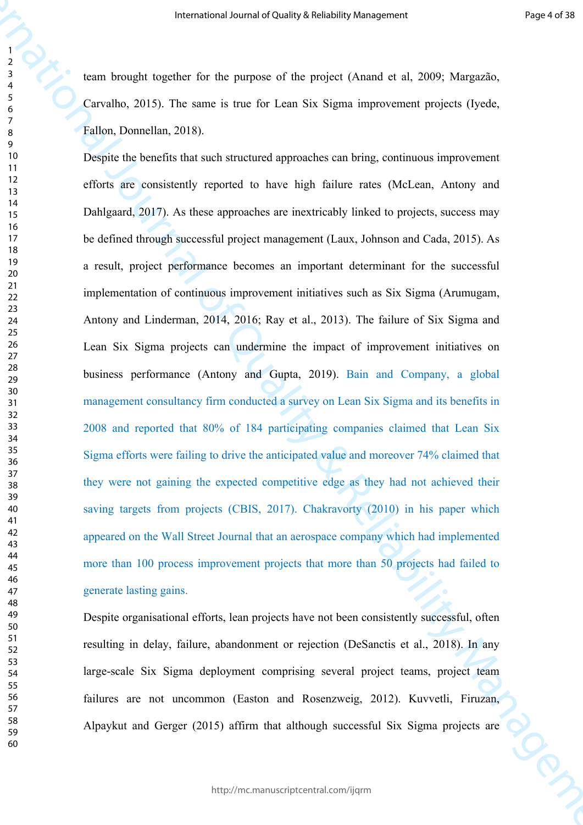team brought together for the purpose of the project (Anand et al, 2009; Margazão, Carvalho, 2015). The same is true for Lean Six Sigma improvement projects (Iyede, Fallon, Donnellan, 2018).

**International occurs of this map is proportional occurs and the system of the proportional ADS). Many the system of Care is the System of DoP (Many the System of Care is the System of DoP) (Care in the System of The Care** Despite the benefits that such structured approaches can bring, continuous improvement efforts are consistently reported to have high failure rates (McLean, Antony and Dahlgaard, 2017). As these approaches are inextricably linked to projects, success may be defined through successful project management (Laux, Johnson and Cada, 2015). As a result, project performance becomes an important determinant for the successful implementation of continuous improvement initiatives such as Six Sigma (Arumugam, Antony and Linderman, 2014, 2016; Ray et al., 2013). The failure of Six Sigma and Lean Six Sigma projects can undermine the impact of improvement initiatives on business performance (Antony and Gupta, 2019). Bain and Company, a global management consultancy firm conducted a survey on Lean Six Sigma and its benefits in 2008 and reported that 80% of 184 participating companies claimed that Lean Six Sigma efforts were failing to drive the anticipated value and moreover 74% claimed that they were not gaining the expected competitive edge as they had not achieved their saving targets from projects (CBIS, 2017). Chakravorty (2010) in his paper which appeared on the Wall Street Journal that an aerospace company which had implemented more than 100 process improvement projects that more than 50 projects had failed to generate lasting gains.

Despite organisational efforts, lean projects have not been consistently successful, often resulting in delay, failure, abandonment or rejection (DeSanctis et al., 2018). In any large-scale Six Sigma deployment comprising several project teams, project team failures are not uncommon (Easton and Rosenzweig, 2012). Kuvvetli, Firuzan, Alpaykut and Gerger (2015) affirm that although successful Six Sigma projects are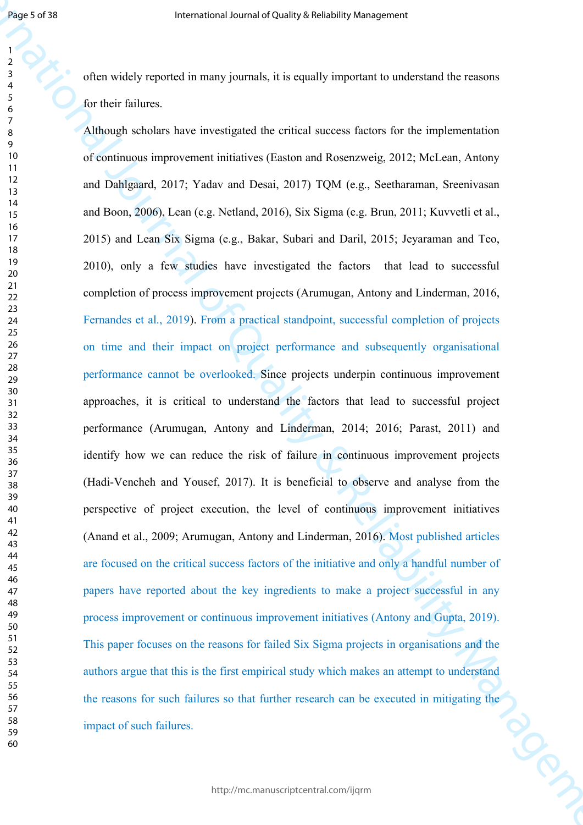often widely reported in many journals, it is equally important to understand the reasons for their failures.

**International correlation** (a specific properties the control of the properties of the correlation of the material of the Control of Cuality Sections  $\frac{1}{2}$  of the matching of the Control of Cuality Channel of Control Although scholars have investigated the critical success factors for the implementation of continuous improvement initiatives (Easton and Rosenzweig, 2012; McLean, Antony and Dahlgaard, 2017; Yadav and Desai, 2017) TQM (e.g., Seetharaman, Sreenivasan and Boon, 2006), Lean (e.g. Netland, 2016), Six Sigma (e.g. Brun, 2011; Kuvvetli et al., 2015) and Lean Six Sigma (e.g., Bakar, Subari and Daril, 2015; Jeyaraman and Teo, 2010), only a few studies have investigated the factors that lead to successful completion of process improvement projects (Arumugan, Antony and Linderman, 2016, Fernandes et al., 2019). From a practical standpoint, successful completion of projects on time and their impact on project performance and subsequently organisational performance cannot be overlooked. Since projects underpin continuous improvement approaches, it is critical to understand the factors that lead to successful project performance (Arumugan, Antony and Linderman, 2014; 2016; Parast, 2011) and identify how we can reduce the risk of failure in continuous improvement projects (Hadi-Vencheh and Yousef, 2017). It is beneficial to observe and analyse from the perspective of project execution, the level of continuous improvement initiatives (Anand et al., 2009; Arumugan, Antony and Linderman, 2016). Most published articles are focused on the critical success factors of the initiative and only a handful number of papers have reported about the key ingredients to make a project successful in any process improvement or continuous improvement initiatives (Antony and Gupta, 2019). This paper focuses on the reasons for failed Six Sigma projects in organisations and the authors argue that this is the first empirical study which makes an attempt to understand the reasons for such failures so that further research can be executed in mitigating the<br>impact of such failures. impact of such failures.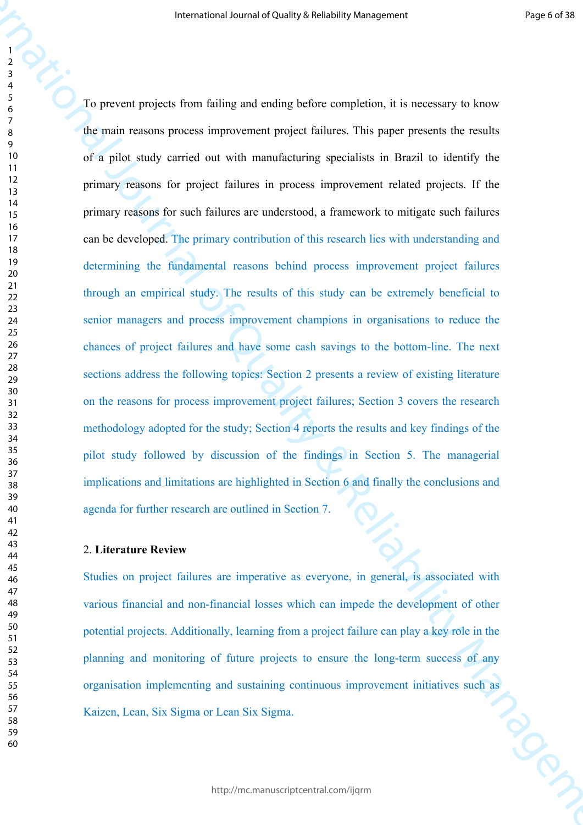**International occurred Charist Scholars Americans and the Charist Scholars Charist Scholars (** $\theta$ **)**<br>
The present predict from 6 filing and entireplacing expediation, it is necessary to know<br>
Yet mini- heliot couly carrie To prevent projects from failing and ending before completion, it is necessary to know the main reasons process improvement project failures. This paper presents the results of a pilot study carried out with manufacturing specialists in Brazil to identify the primary reasons for project failures in process improvement related projects. If the primary reasons for such failures are understood, a framework to mitigate such failures can be developed. The primary contribution of this research lies with understanding and determining the fundamental reasons behind process improvement project failures through an empirical study. The results of this study can be extremely beneficial to senior managers and process improvement champions in organisations to reduce the chances of project failures and have some cash savings to the bottom-line. The next sections address the following topics: Section 2 presents a review of existing literature on the reasons for process improvement project failures; Section 3 covers the research methodology adopted for the study; Section 4 reports the results and key findings of the pilot study followed by discussion of the findings in Section 5. The managerial implications and limitations are highlighted in Section 6 and finally the conclusions and agenda for further research are outlined in Section 7.

## 2. **Literature Review**

Studies on project failures are imperative as everyone, in general, is associated with various financial and non-financial losses which can impede the development of other potential projects. Additionally, learning from a project failure can play a key role in the planning and monitoring of future projects to ensure the long-term success of any organisation implementing and sustaining continuous improvement initiatives such as<br>Kaizen, Lean, Six Sigma or Lean Six Sigma. Kaizen, Lean, Six Sigma or Lean Six Sigma.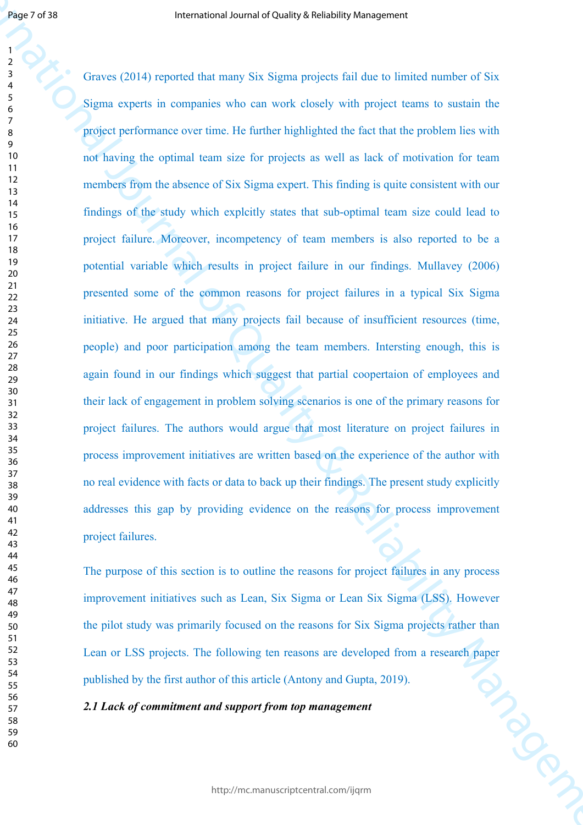**International control of the property in the transformation**<br> **International or the control of the state of the state of the state of Sixternation of Sixternation of the Sixternation of the Sixternation of the Control of** Graves (2014) reported that many Six Sigma projects fail due to limited number of Six Sigma experts in companies who can work closely with project teams to sustain the project performance over time. He further highlighted the fact that the problem lies with not having the optimal team size for projects as well as lack of motivation for team members from the absence of Six Sigma expert. This finding is quite consistent with our findings of the study which explcitly states that sub-optimal team size could lead to project failure. Moreover, incompetency of team members is also reported to be a potential variable which results in project failure in our findings. Mullavey (2006) presented some of the common reasons for project failures in a typical Six Sigma initiative. He argued that many projects fail because of insufficient resources (time, people) and poor participation among the team members. Intersting enough, this is again found in our findings which suggest that partial coopertaion of employees and their lack of engagement in problem solving scenarios is one of the primary reasons for project failures. The authors would argue that most literature on project failures in process improvement initiatives are written based on the experience of the author with no real evidence with facts or data to back up their findings. The present study explicitly addresses this gap by providing evidence on the reasons for process improvement project failures.

The purpose of this section is to outline the reasons for project failures in any process improvement initiatives such as Lean, Six Sigma or Lean Six Sigma (LSS). However the pilot study was primarily focused on the reasons for Six Sigma projects rather than Lean or LSS projects. The following ten reasons are developed from a research paper<br>published by the first author of this article (Antony and Gupta, 2019).<br>2.1 Lack of commitment and support from top management published by the first author of this article (Antony and Gupta, 2019).

*2.1 Lack of commitment and support from top management*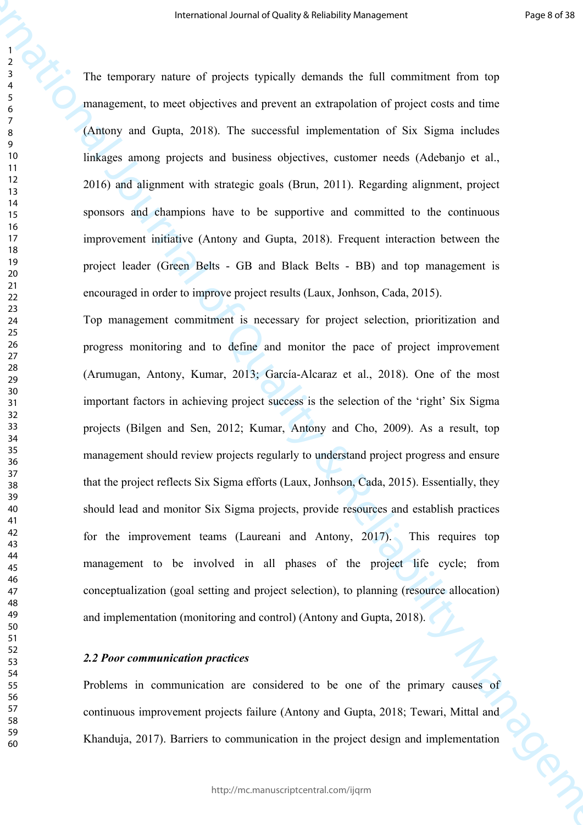The temporary nature of projects typically demands the full commitment from top management, to meet objectives and prevent an extrapolation of project costs and time (Antony and Gupta, 2018). The successful implementation of Six Sigma includes linkages among projects and business objectives, customer needs (Adebanjo et al., 2016) and alignment with strategic goals (Brun, 2011). Regarding alignment, project sponsors and champions have to be supportive and committed to the continuous improvement initiative (Antony and Gupta, 2018). Frequent interaction between the project leader (Green Belts - GB and Black Belts - BB) and top management is encouraged in order to improve project results (Laux, Jonhson, Cada, 2015).

**International occurs of the following Strenghly Americans are absolute the main of the system of the main of the system of the system of the main of the system of the main of the system of the system of the system of the** Top management commitment is necessary for project selection, prioritization and progress monitoring and to define and monitor the pace of project improvement (Arumugan, Antony, Kumar, 2013; García-Alcaraz et al., 2018). One of the most important factors in achieving project success is the selection of the 'right' Six Sigma projects (Bilgen and Sen, 2012; Kumar, Antony and Cho, 2009). As a result, top management should review projects regularly to understand project progress and ensure that the project reflects Six Sigma efforts (Laux, Jonhson, Cada, 2015). Essentially, they should lead and monitor Six Sigma projects, provide resources and establish practices for the improvement teams (Laureani and Antony, 2017). This requires top management to be involved in all phases of the project life cycle; from conceptualization (goal setting and project selection), to planning (resource allocation) and implementation (monitoring and control) (Antony and Gupta, 2018).

## *2.2 Poor communication practices*

Problems in communication are considered to be one of the primary causes of continuous improvement projects failure (Antony and Gupta, 2018; Tewari, Mittal and Khanduja, 2017). Barriers to communication in the project design and implementation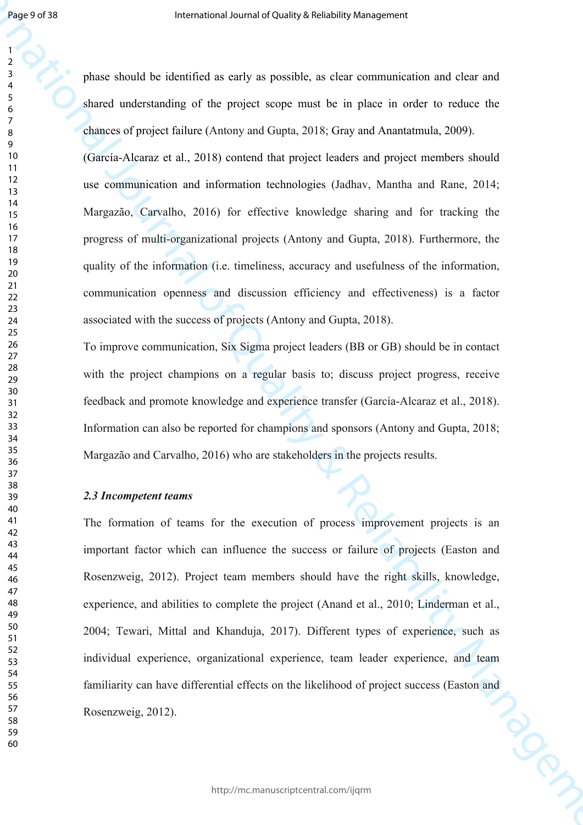phase should be identified as early as possible, as clear communication and clear and shared understanding of the project scope must be in place in order to reduce the chances of project failure (Antony and Gupta, 2018; Gray and Anantatmula, 2009).

(García-Alcaraz et al., 2018) contend that project leaders and project members should use communication and information technologies (Jadhav, Mantha and Rane, 2014; Margazão, Carvalho, 2016) for effective knowledge sharing and for tracking the progress of multi-organizational projects (Antony and Gupta, 2018). Furthermore, the quality of the information (i.e. timeliness, accuracy and usefulness of the information, communication openness and discussion efficiency and effectiveness) is a factor associated with the success of projects (Antony and Gupta, 2018).

To improve communication, Six Sigma project leaders (BB or GB) should be in contact with the project champions on a regular basis to; discuss project progress, receive feedback and promote knowledge and experience transfer (García-Alcaraz et al., 2018). Information can also be reported for champions and sponsors (Antony and Gupta, 2018; Margazão and Carvalho, 2016) who are stakeholders in the projects results.

## *2.3 Incompetent teams*

**International correlation** of the state of the state of the state of the state of the state of Australia Channel Control of Australia Channel Control of Australia Channel Channel Channel of Australia Channel Channel Sche The formation of teams for the execution of process improvement projects is an important factor which can influence the success or failure of projects (Easton and Rosenzweig, 2012). Project team members should have the right skills, knowledge, experience, and abilities to complete the project (Anand et al., 2010; Linderman et al., 2004; Tewari, Mittal and Khanduja, 2017). Different types of experience, such as individual experience, organizational experience, team leader experience, and team familiarity can have differential effects on the likelihood of project success (Easton and<br>Rosenzweig, 2012). Rosenzweig, 2012).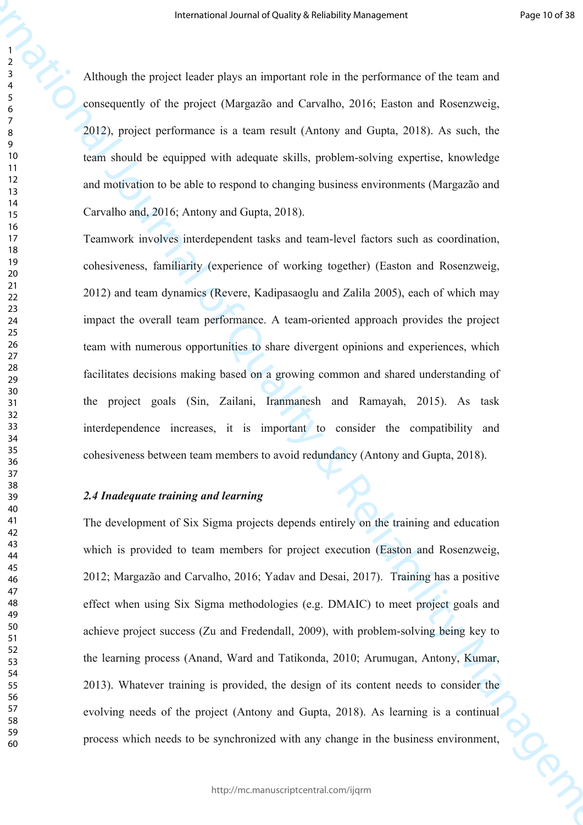Although the project leader plays an important role in the performance of the team and consequently of the project (Margazão and Carvalho, 2016; Easton and Rosenzweig, 2012), project performance is a team result (Antony and Gupta, 2018). As such, the team should be equipped with adequate skills, problem-solving expertise, knowledge and motivation to be able to respond to changing business environments (Margazão and Carvalho and, 2016; Antony and Gupta, 2018).

**Example 2018** Although the project Force Prior an imperator and in the particular and the content of the content<br>
2013 project Force Prior an impact of Content of Content of Content of Content of Content of Content of Co Teamwork involves interdependent tasks and team-level factors such as coordination, cohesiveness, familiarity (experience of working together) (Easton and Rosenzweig, 2012) and team dynamics (Revere, Kadipasaoglu and Zalila 2005), each of which may impact the overall team performance. A team-oriented approach provides the project team with numerous opportunities to share divergent opinions and experiences, which facilitates decisions making based on a growing common and shared understanding of the project goals (Sin, Zailani, Iranmanesh and Ramayah, 2015). As task interdependence increases, it is important to consider the compatibility and cohesiveness between team members to avoid redundancy (Antony and Gupta, 2018).

#### *2.4 Inadequate training and learning*

The development of Six Sigma projects depends entirely on the training and education which is provided to team members for project execution (Easton and Rosenzweig, 2012; Margazão and Carvalho, 2016; Yadav and Desai, 2017). Training has a positive effect when using Six Sigma methodologies (e.g. DMAIC) to meet project goals and achieve project success (Zu and Fredendall, 2009), with problem-solving being key to the learning process (Anand, Ward and Tatikonda, 2010; Arumugan, Antony, Kumar, 2013). Whatever training is provided, the design of its content needs to consider the evolving needs of the project (Antony and Gupta, 2018). As learning is a continual process which needs to be synchronized with any change in the business environment,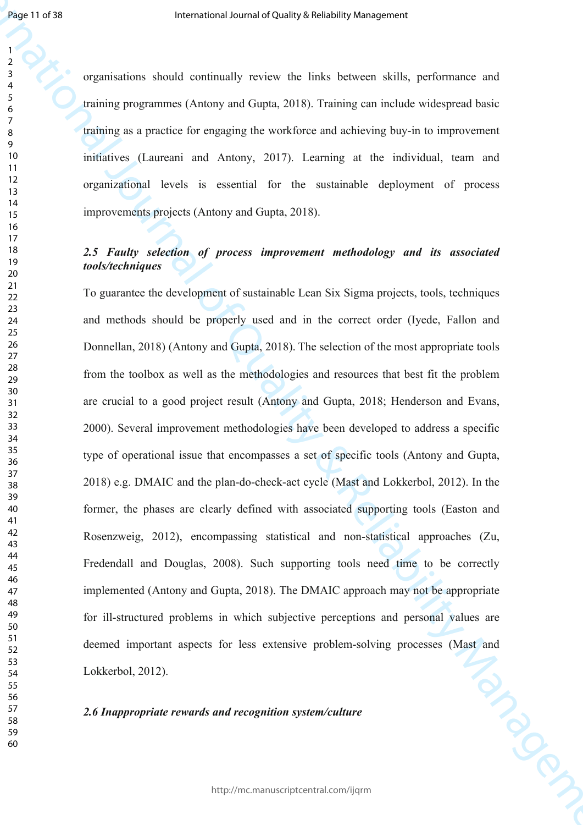organisations should continually review the links between skills, performance and training programmes (Antony and Gupta, 2018). Training can include widespread basic training as a practice for engaging the workforce and achieving buy-in to improvement initiatives (Laureani and Antony, 2017). Learning at the individual, team and organizational levels is essential for the sustainable deployment of process improvements projects (Antony and Gupta, 2018).

## *2.5 Faulty selection of process improvement methodology and its associated tools/techniques*

**International control Charity & Reliability of Reliability American Charity Charity Charity Control Charity Charity Charity Charity Charity Charity Charity Charity Charity Charity Charity Charity Charity Charity Charity** To guarantee the development of sustainable Lean Six Sigma projects, tools, techniques and methods should be properly used and in the correct order (Iyede, Fallon and Donnellan, 2018) (Antony and Gupta, 2018). The selection of the most appropriate tools from the toolbox as well as the methodologies and resources that best fit the problem are crucial to a good project result (Antony and Gupta, 2018; Henderson and Evans, 2000). Several improvement methodologies have been developed to address a specific type of operational issue that encompasses a set of specific tools (Antony and Gupta, 2018) e.g. DMAIC and the plan-do-check-act cycle (Mast and Lokkerbol, 2012). In the former, the phases are clearly defined with associated supporting tools (Easton and Rosenzweig, 2012), encompassing statistical and non-statistical approaches (Zu, Fredendall and Douglas, 2008). Such supporting tools need time to be correctly implemented (Antony and Gupta, 2018). The DMAIC approach may not be appropriate for ill-structured problems in which subjective perceptions and personal values are deemed important aspects for less extensive problem-solving processes (Mast and<br>Lokkerbol, 2012).<br>2.6 Inappropriate rewards and recognition system/culture Lokkerbol, 2012).

*2.6 Inappropriate rewards and recognition system/culture*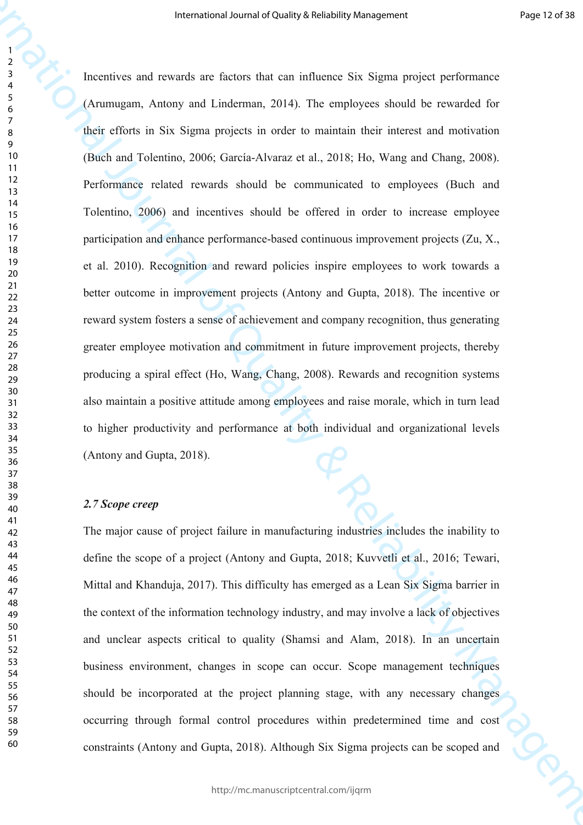**Internetion** Secrete/Second of Distribution (Figure 2016) Reliability the experiment of the Constrainer Constrainer Constrainer (American Journal of The Constrainer Constrainer Constrainer Constrainer Constrainer Constra Incentives and rewards are factors that can influence Six Sigma project performance (Arumugam, Antony and Linderman, 2014). The employees should be rewarded for their efforts in Six Sigma projects in order to maintain their interest and motivation (Buch and Tolentino, 2006; García-Alvaraz et al., 2018; Ho, Wang and Chang, 2008). Performance related rewards should be communicated to employees (Buch and Tolentino, 2006) and incentives should be offered in order to increase employee participation and enhance performance-based continuous improvement projects (Zu, X., et al. 2010). Recognition and reward policies inspire employees to work towards a better outcome in improvement projects (Antony and Gupta, 2018). The incentive or reward system fosters a sense of achievement and company recognition, thus generating greater employee motivation and commitment in future improvement projects, thereby producing a spiral effect (Ho, Wang, Chang, 2008). Rewards and recognition systems also maintain a positive attitude among employees and raise morale, which in turn lead to higher productivity and performance at both individual and organizational levels (Antony and Gupta, 2018).

## *2.7 Scope creep*

The major cause of project failure in manufacturing industries includes the inability to define the scope of a project (Antony and Gupta, 2018; Kuvvetli et al., 2016; Tewari, Mittal and Khanduja, 2017). This difficulty has emerged as a Lean Six Sigma barrier in the context of the information technology industry, and may involve a lack of objectives and unclear aspects critical to quality (Shamsi and Alam, 2018). In an uncertain business environment, changes in scope can occur. Scope management techniques should be incorporated at the project planning stage, with any necessary changes occurring through formal control procedures within predetermined time and cost constraints (Antony and Gupta, 2018). Although Six Sigma projects can be scoped and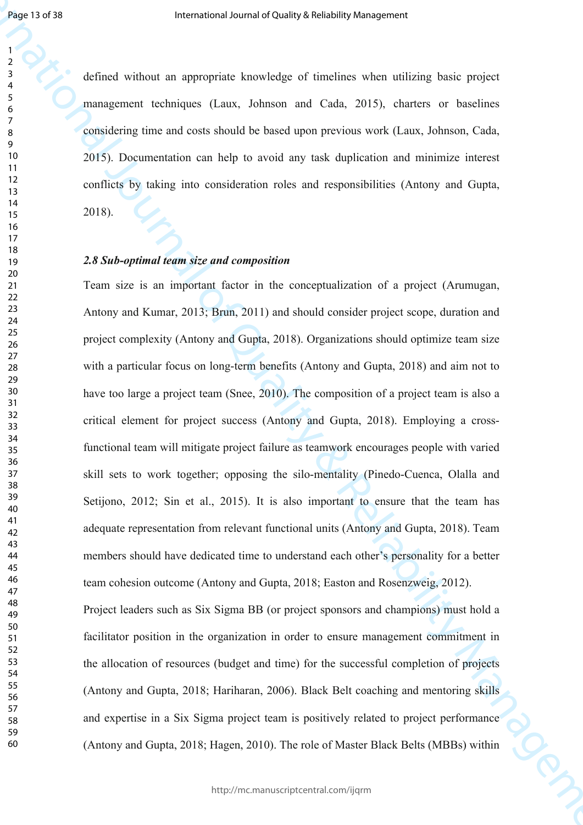defined without an appropriate knowledge of timelines when utilizing basic project management techniques (Laux, Johnson and Cada, 2015), charters or baselines considering time and costs should be based upon previous work (Laux, Johnson, Cada, 2015). Documentation can help to avoid any task duplication and minimize interest conflicts by taking into consideration roles and responsibilities (Antony and Gupta, 2018).

## *2.8 Sub-optimal team size and composition*

**International control of the Uniternational Section American Section (Although the Control of Music Control of the Control of The Control of The Control of The Control of The Control of The Control of The Control of The** Team size is an important factor in the conceptualization of a project (Arumugan, Antony and Kumar, 2013; Brun, 2011) and should consider project scope, duration and project complexity (Antony and Gupta, 2018). Organizations should optimize team size with a particular focus on long-term benefits (Antony and Gupta, 2018) and aim not to have too large a project team (Snee, 2010). The composition of a project team is also a critical element for project success (Antony and Gupta, 2018). Employing a crossfunctional team will mitigate project failure as teamwork encourages people with varied skill sets to work together; opposing the silo-mentality (Pinedo-Cuenca, Olalla and Setijono, 2012; Sin et al., 2015). It is also important to ensure that the team has adequate representation from relevant functional units (Antony and Gupta, 2018). Team members should have dedicated time to understand each other's personality for a better team cohesion outcome (Antony and Gupta, 2018; Easton and Rosenzweig, 2012). Project leaders such as Six Sigma BB (or project sponsors and champions) must hold a facilitator position in the organization in order to ensure management commitment in the allocation of resources (budget and time) for the successful completion of projects (Antony and Gupta, 2018; Hariharan, 2006). Black Belt coaching and mentoring skills and expertise in a Six Sigma project team is positively related to project performance (Antony and Gupta, 2018; Hagen, 2010). The role of Master Black Belts (MBBs) within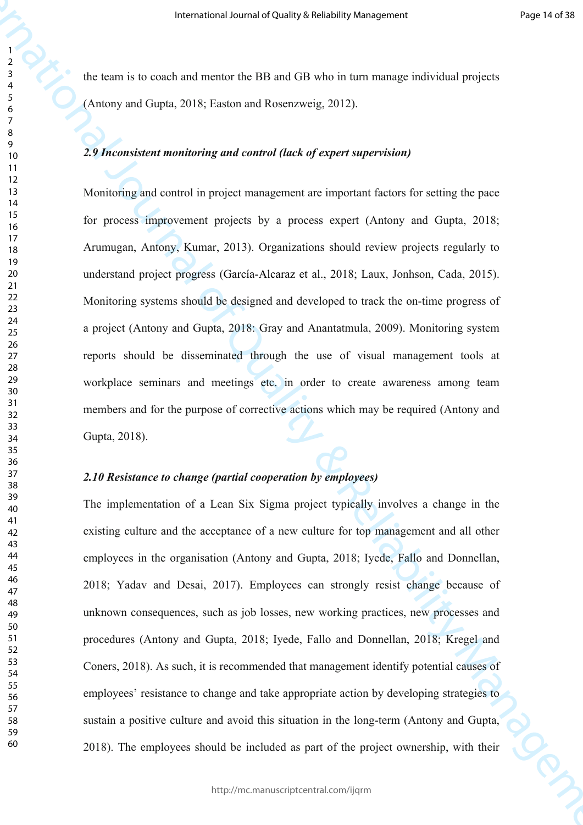the team is to coach and mentor the BB and GB who in turn manage individual projects (Antony and Gupta, 2018; Easton and Rosenzweig, 2012).

## *2.9 Inconsistent monitoring and control (lack of expert supervision)*

Monitoring and control in project management are important factors for setting the pace for process improvement projects by a process expert (Antony and Gupta, 2018; Arumugan, Antony, Kumar, 2013). Organizations should review projects regularly to understand project progress (García-Alcaraz et al., 2018; Laux, Jonhson, Cada, 2015). Monitoring systems should be designed and developed to track the on-time progress of a project (Antony and Gupta, 2018: Gray and Anantatmula, 2009). Monitoring system reports should be disseminated through the use of visual management tools at workplace seminars and meetings etc. in order to create awareness among team members and for the purpose of corrective actions which may be required (Antony and Gupta, 2018).

## *2.10 Resistance to change (partial cooperation by employees)*

**International occurs of Charge Stress have a measure of the Charge Street of Australia Charge Street (Australia Charge Street of Quality Charge Street (Australia Charge Street (Australia Charge Street (Australia Charge S** The implementation of a Lean Six Sigma project typically involves a change in the existing culture and the acceptance of a new culture for top management and all other employees in the organisation (Antony and Gupta, 2018; Iyede, Fallo and Donnellan, 2018; Yadav and Desai, 2017). Employees can strongly resist change because of unknown consequences, such as job losses, new working practices, new processes and procedures (Antony and Gupta, 2018; Iyede, Fallo and Donnellan, 2018; Kregel and Coners, 2018). As such, it is recommended that management identify potential causes of employees' resistance to change and take appropriate action by developing strategies to sustain a positive culture and avoid this situation in the long-term (Antony and Gupta, 2018). The employees should be included as part of the project ownership, with their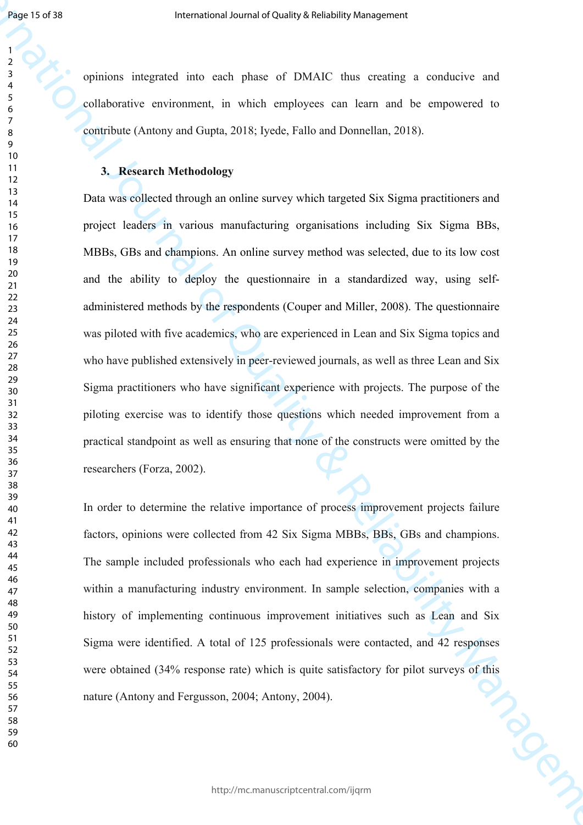opinions integrated into each phase of DMAIC thus creating a conducive and collaborative environment, in which employees can learn and be empowered to contribute (Antony and Gupta, 2018; Iyede, Fallo and Donnellan, 2018).

## **3. Research Methodology**

**International control of TWANC** that entailing a second control and the symptoms of CNANC that entailing a conductive and substitute environment, in which employees can keen male the employees can be a sum onder the expo Data was collected through an online survey which targeted Six Sigma practitioners and project leaders in various manufacturing organisations including Six Sigma BBs, MBBs, GBs and champions. An online survey method was selected, due to its low cost and the ability to deploy the questionnaire in a standardized way, using selfadministered methods by the respondents (Couper and Miller, 2008). The questionnaire was piloted with five academics, who are experienced in Lean and Six Sigma topics and who have published extensively in peer-reviewed journals, as well as three Lean and Six Sigma practitioners who have significant experience with projects. The purpose of the piloting exercise was to identify those questions which needed improvement from a practical standpoint as well as ensuring that none of the constructs were omitted by the researchers (Forza, 2002).

In order to determine the relative importance of process improvement projects failure factors, opinions were collected from 42 Six Sigma MBBs, BBs, GBs and champions. The sample included professionals who each had experience in improvement projects within a manufacturing industry environment. In sample selection, companies with a history of implementing continuous improvement initiatives such as Lean and Six Sigma were identified. A total of 125 professionals were contacted, and 42 responses were obtained (34% response rate) which is quite satisfactory for pilot surveys of this nature (Antony and Fergusson, 2004; Antony, 2004).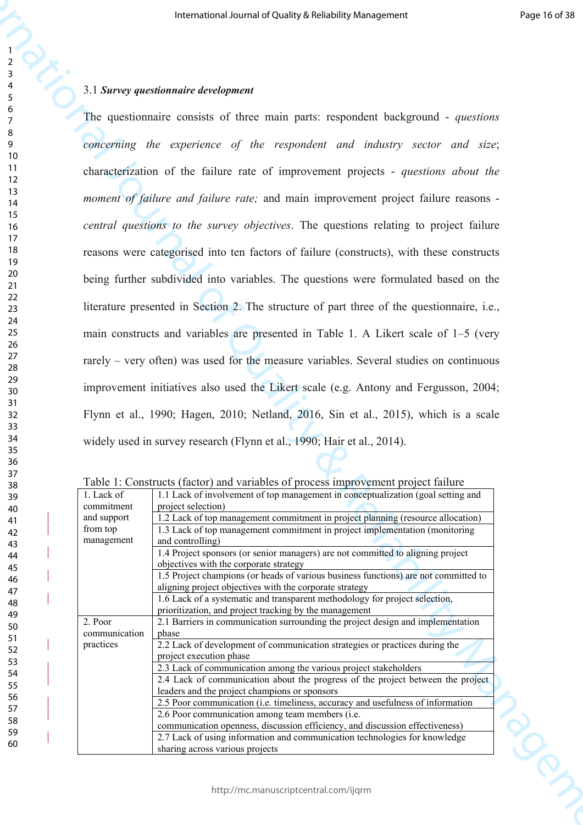## 3.1 *Survey questionnaire development*

The control of the transformation of the main particular stress<br>
The control of the stress of the main partic required in the positions of the stress of the main particular stress of the control of the stress of the stres The questionnaire consists of three main parts: respondent background - *questions concerning the experience of the respondent and industry sector and size*; characterization of the failure rate of improvement projects - *questions about the moment of failure and failure rate;* and main improvement project failure reasons *central questions to the survey objectives*. The questions relating to project failure reasons were categorised into ten factors of failure (constructs), with these constructs being further subdivided into variables. The questions were formulated based on the literature presented in Section 2. The structure of part three of the questionnaire, i.e., main constructs and variables are presented in Table 1. A Likert scale of 1–5 (very rarely – very often) was used for the measure variables. Several studies on continuous improvement initiatives also used the Likert scale (e.g. Antony and Fergusson, 2004; Flynn et al., 1990; Hagen, 2010; Netland, 2016, Sin et al., 2015), which is a scale widely used in survey research (Flynn et al., 1990; Hair et al., 2014).

|               | Table 1. Constructs (factor) and variables of process improvement project familie   |
|---------------|-------------------------------------------------------------------------------------|
| 1. Lack of    | 1.1 Lack of involvement of top management in conceptualization (goal setting and    |
| commitment    | project selection)                                                                  |
| and support   | 1.2 Lack of top management commitment in project planning (resource allocation)     |
| from top      | 1.3 Lack of top management commitment in project implementation (monitoring         |
| management    | and controlling)                                                                    |
|               | 1.4 Project sponsors (or senior managers) are not committed to aligning project     |
|               | objectives with the corporate strategy                                              |
|               | 1.5 Project champions (or heads of various business functions) are not committed to |
|               | aligning project objectives with the corporate strategy                             |
|               | 1.6 Lack of a systematic and transparent methodology for project selection,         |
|               | prioritization, and project tracking by the management                              |
| 2. Poor       | 2.1 Barriers in communication surrounding the project design and implementation     |
| communication | phase                                                                               |
| practices     | 2.2 Lack of development of communication strategies or practices during the         |
|               | project execution phase                                                             |
|               | 2.3 Lack of communication among the various project stakeholders                    |
|               | 2.4 Lack of communication about the progress of the project between the project     |
|               | leaders and the project champions or sponsors                                       |
|               | 2.5 Poor communication (i.e. timeliness, accuracy and usefulness of information     |
|               | 2.6 Poor communication among team members (i.e.                                     |
|               | communication openness, discussion efficiency, and discussion effectiveness)        |
|               | 2.7 Lack of using information and communication technologies for knowledge          |
|               | sharing across various projects                                                     |

Table 1: Constructs (factor) and variables of process improvement project failure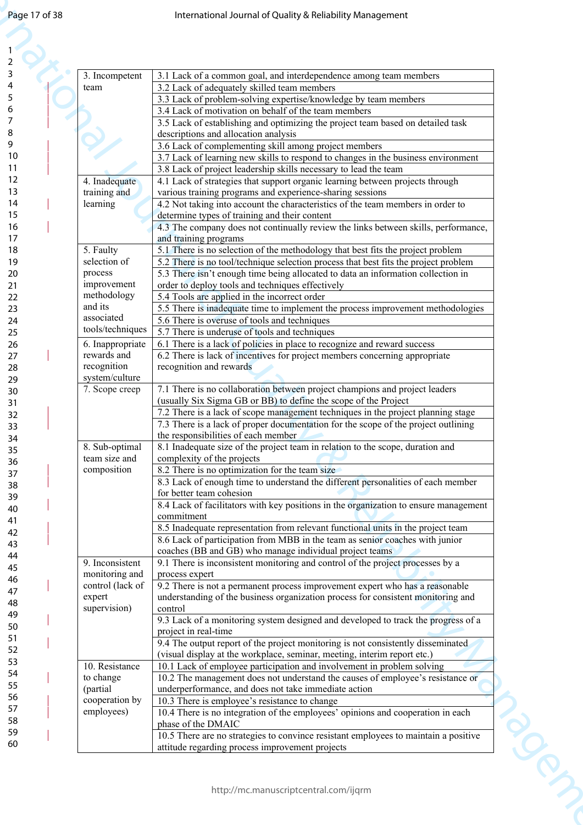| Page 17 of 38  |                               | International Journal of Quality & Reliability Management                                                                                                              |
|----------------|-------------------------------|------------------------------------------------------------------------------------------------------------------------------------------------------------------------|
|                |                               |                                                                                                                                                                        |
|                |                               |                                                                                                                                                                        |
|                |                               |                                                                                                                                                                        |
|                | 3. Incompetent<br>team        | 3.1 Lack of a common goal, and interdependence among team members<br>3.2 Lack of adequately skilled team members                                                       |
|                |                               | 3.3 Lack of problem-solving expertise/knowledge by team members                                                                                                        |
|                |                               | 3.4 Lack of motivation on behalf of the team members                                                                                                                   |
|                |                               | 3.5 Lack of establishing and optimizing the project team based on detailed task<br>descriptions and allocation analysis                                                |
|                |                               | 3.6 Lack of complementing skill among project members                                                                                                                  |
|                |                               | 3.7 Lack of learning new skills to respond to changes in the business environment                                                                                      |
|                |                               | 3.8 Lack of project leadership skills necessary to lead the team                                                                                                       |
|                | 4. Inadequate<br>training and | 4.1 Lack of strategies that support organic learning between projects through<br>various training programs and experience-sharing sessions                             |
|                | learning                      | 4.2 Not taking into account the characteristics of the team members in order to                                                                                        |
|                |                               | determine types of training and their content                                                                                                                          |
|                |                               | 4.3 The company does not continually review the links between skills, performance,<br>and training programs                                                            |
|                | 5. Faulty                     | 5.1 There is no selection of the methodology that best fits the project problem                                                                                        |
|                | selection of                  | 5.2 There is no tool/technique selection process that best fits the project problem                                                                                    |
|                | process<br>improvement        | 5.3 There isn't enough time being allocated to data an information collection in<br>order to deploy tools and techniques effectively                                   |
|                | methodology                   | 5.4 Tools are applied in the incorrect order                                                                                                                           |
|                | and its<br>associated         | 5.5 There is inadequate time to implement the process improvement methodologies                                                                                        |
|                | tools/techniques              | 5.6 There is overuse of tools and techniques<br>5.7 There is underuse of tools and techniques                                                                          |
|                | 6. Inappropriate              | 6.1 There is a lack of policies in place to recognize and reward success                                                                                               |
|                | rewards and                   | 6.2 There is lack of incentives for project members concerning appropriate                                                                                             |
|                | recognition<br>system/culture | recognition and rewards                                                                                                                                                |
|                | 7. Scope creep                | 7.1 There is no collaboration between project champions and project leaders                                                                                            |
| 30<br>31<br>32 |                               | (usually Six Sigma GB or BB) to define the scope of the Project                                                                                                        |
|                |                               | 7.2 There is a lack of scope management techniques in the project planning stage<br>7.3 There is a lack of proper documentation for the scope of the project outlining |
|                |                               | the responsibilities of each member                                                                                                                                    |
| 34<br>35       | 8. Sub-optimal                | 8.1 Inadequate size of the project team in relation to the scope, duration and                                                                                         |
| 36             | team size and<br>composition  | complexity of the projects<br>8.2 There is no optimization for the team size                                                                                           |
| 37<br>38       |                               | 8.3 Lack of enough time to understand the different personalities of each member                                                                                       |
| 39             |                               | for better team cohesion<br>8.4 Lack of facilitators with key positions in the organization to ensure management                                                       |
| 40             |                               | commitment                                                                                                                                                             |
| 41<br>42       |                               | 8.5 Inadequate representation from relevant functional units in the project team                                                                                       |
| 43             |                               | 8.6 Lack of participation from MBB in the team as senior coaches with junior<br>coaches (BB and GB) who manage individual project teams                                |
| 44<br>45       | 9. Inconsistent               | 9.1 There is inconsistent monitoring and control of the project processes by a                                                                                         |
| 46             | monitoring and                | process expert                                                                                                                                                         |
| 47             | control (lack of<br>expert    | 9.2 There is not a permanent process improvement expert who has a reasonable<br>understanding of the business organization process for consistent monitoring and       |
| 48<br>49       | supervision)                  | control                                                                                                                                                                |
| 50             |                               | 9.3 Lack of a monitoring system designed and developed to track the progress of a                                                                                      |
| 52             |                               | project in real-time<br>9.4 The output report of the project monitoring is not consistently disseminated                                                               |
|                |                               | (visual display at the workplace, seminar, meeting, interim report etc.)                                                                                               |
|                | 10. Resistance<br>to change   | 10.1 Lack of employee participation and involvement in problem solving<br>10.2 The management does not understand the causes of employee's resistance or               |
| 54<br>55<br>56 | (partial                      | underperformance, and does not take immediate action                                                                                                                   |
|                | cooperation by                | 10.3 There is employee's resistance to change                                                                                                                          |
| 57             | employees)                    | 10.4 There is no integration of the employees' opinions and cooperation in each<br>phase of the DMAIC                                                                  |
| 58<br>59       |                               | 10.5 There are no strategies to convince resistant employees to maintain a positive                                                                                    |
| 60             |                               | attitude regarding process improvement projects                                                                                                                        |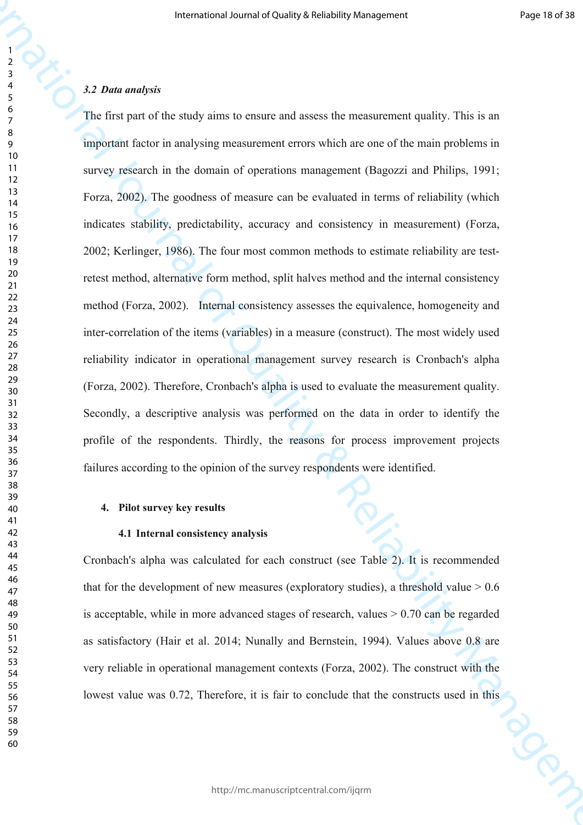## *3.2 Data analysis*

**International occurs of Cality & Reliability American control of The California California California California California California California California California California California California California Californ** The first part of the study aims to ensure and assess the measurement quality. This is an important factor in analysing measurement errors which are one of the main problems in survey research in the domain of operations management (Bagozzi and Philips, 1991; Forza, 2002). The goodness of measure can be evaluated in terms of reliability (which indicates stability, predictability, accuracy and consistency in measurement) (Forza, 2002; Kerlinger, 1986). The four most common methods to estimate reliability are testretest method, alternative form method, split halves method and the internal consistency method (Forza, 2002). Internal consistency assesses the equivalence, homogeneity and inter-correlation of the items (variables) in a measure (construct). The most widely used reliability indicator in operational management survey research is Cronbach's alpha (Forza, 2002). Therefore, Cronbach's alpha is used to evaluate the measurement quality. Secondly, a descriptive analysis was performed on the data in order to identify the profile of the respondents. Thirdly, the reasons for process improvement projects failures according to the opinion of the survey respondents were identified.

## **4. Pilot survey key results**

#### **4.1 Internal consistency analysis**

Cronbach's alpha was calculated for each construct (see Table 2). It is recommended that for the development of new measures (exploratory studies), a threshold value  $> 0.6$ is acceptable, while in more advanced stages of research, values  $> 0.70$  can be regarded as satisfactory (Hair et al. 2014; Nunally and Bernstein, 1994). Values above 0.8 are very reliable in operational management contexts (Forza, 2002). The construct with the lowest value was 0.72, Therefore, it is fair to conclude that the constructs used in this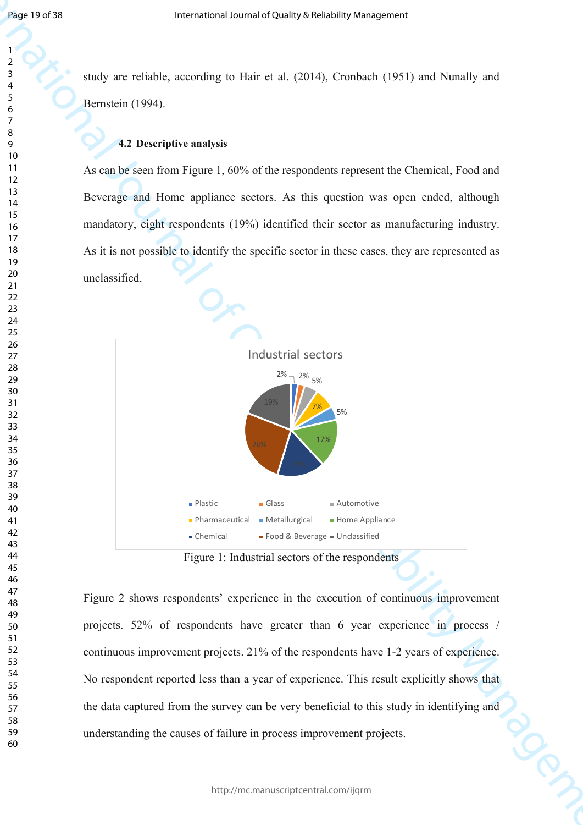study are reliable, according to Hair et al. (2014), Cronbach (1951) and Nunally and Bernstein (1994).

## **4.2 Descriptive analysis**

As can be seen from Figure 1, 60% of the respondents represent the Chemical, Food and Beverage and Home appliance sectors. As this question was open ended, although mandatory, eight respondents (19%) identified their sector as manufacturing industry. As it is not possible to identify the specific sector in these cases, they are represented as unclassified.



Figure 1: Industrial sectors of the respondents

Figure 2 shows respondents' experience in the execution of continuous improvement projects. 52% of respondents have greater than 6 year experience in process / continuous improvement projects. 21% of the respondents have 1-2 years of experience. No respondent reported less than a year of experience. This result explicitly shows that the data captured from the survey can be very beneficial to this study in identifying and understanding the causes of failure in process improvement projects.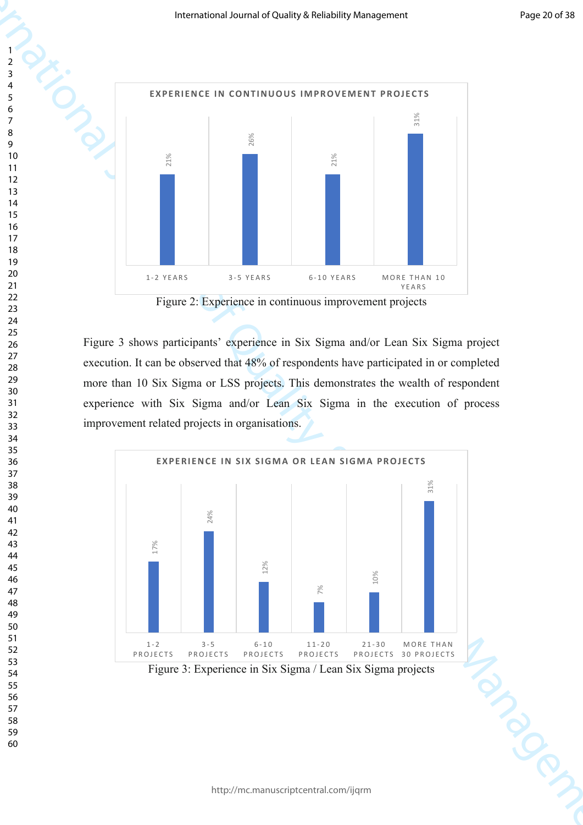

Figure 2: Experience in continuous improvement projects

Figure 3 shows participants' experience in Six Sigma and/or Lean Six Sigma project execution. It can be observed that 48% of respondents have participated in or completed more than 10 Six Sigma or LSS projects. This demonstrates the wealth of respondent experience with Six Sigma and/or Lean Six Sigma in the execution of process improvement related projects in organisations.

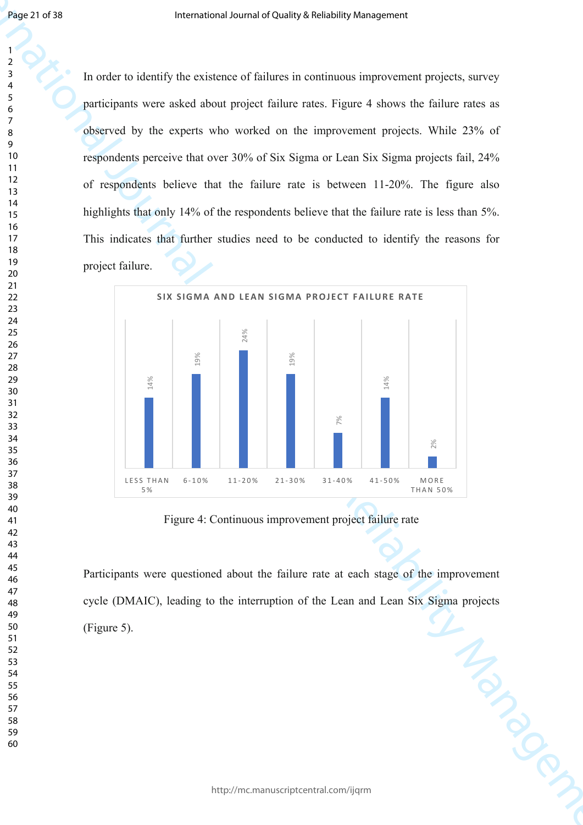In order to identify the existence of failures in continuous improvement projects, survey participants were asked about project failure rates. Figure 4 shows the failure rates as observed by the experts who worked on the improvement projects. While 23% of respondents perceive that over 30% of Six Sigma or Lean Six Sigma projects fail, 24% of respondents believe that the failure rate is between 11-20%. The figure also highlights that only 14% of the respondents believe that the failure rate is less than 5%. This indicates that further studies need to be conducted to identify the reasons for project failure.



Figure 4: Continuous improvement project failure rate

Participants were questioned about the failure rate at each stage of the improvement cycle (DMAIC), leading to the interruption of the Lean and Lean Six Sigma projects<br>
(Figure 5). (Figure 5).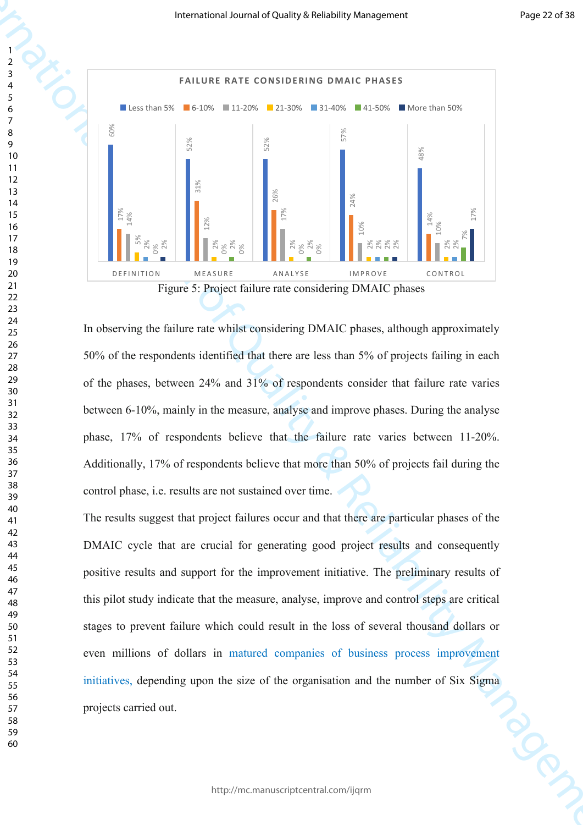

Figure 5: Project failure rate considering DMAIC phases

In observing the failure rate whilst considering DMAIC phases, although approximately 50% of the respondents identified that there are less than 5% of projects failing in each of the phases, between 24% and 31% of respondents consider that failure rate varies between 6-10%, mainly in the measure, analyse and improve phases. During the analyse phase, 17% of respondents believe that the failure rate varies between 11-20%. Additionally, 17% of respondents believe that more than 50% of projects fail during the control phase, i.e. results are not sustained over time.

The results suggest that project failures occur and that there are particular phases of the DMAIC cycle that are crucial for generating good project results and consequently positive results and support for the improvement initiative. The preliminary results of this pilot study indicate that the measure, analyse, improve and control steps are critical stages to prevent failure which could result in the loss of several thousand dollars or even millions of dollars in matured companies of business process improvement initiatives, depending upon the size of the organisation and the number of Six Sigma projects carried out.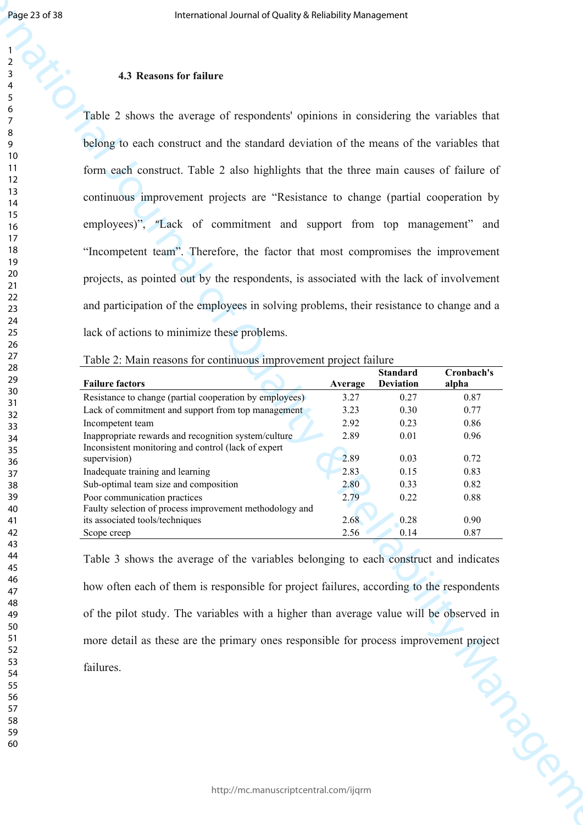## 

 

## **4.3 Reasons for failure**

**International or the Controller Schedule Changement Controller Schedule American Changement Changement Changement Changement Changement Changement Changement Changement Changement Changement Changement Changement Changem** Table 2 shows the average of respondents' opinions in considering the variables that belong to each construct and the standard deviation of the means of the variables that form each construct. Table 2 also highlights that the three main causes of failure of continuous improvement projects are "Resistance to change (partial cooperation by employees)", "Lack of commitment and support from top management" and "Incompetent team". Therefore, the factor that most compromises the improvement projects, as pointed out by the respondents, is associated with the lack of involvement and participation of the employees in solving problems, their resistance to change and a lack of actions to minimize these problems.

Table 2: Main reasons for continuous improvement project failure

|                                                         |         | <b>Standard</b>  | Cronbach's |
|---------------------------------------------------------|---------|------------------|------------|
| <b>Failure factors</b>                                  | Average | <b>Deviation</b> | alpha      |
| Resistance to change (partial cooperation by employees) | 3.27    | 0.27             | 0.87       |
| Lack of commitment and support from top management      | 3.23    | 0.30             | 0.77       |
| Incompetent team                                        | 2.92    | 0.23             | 0.86       |
| Inappropriate rewards and recognition system/culture    | 2.89    | 0.01             | 0.96       |
| Inconsistent monitoring and control (lack of expert)    |         |                  |            |
| supervision)                                            | 2.89    | 0.03             | 0.72       |
| Inadequate training and learning                        | 2.83    | 0.15             | 0.83       |
| Sub-optimal team size and composition                   | 2.80    | 0.33             | 0.82       |
| Poor communication practices                            | 2.79    | 0.22             | 0.88       |
| Faulty selection of process improvement methodology and |         |                  |            |
| its associated tools/techniques                         | 2.68    | 0.28             | 0.90       |
| Scope creep                                             | 2.56    | 0.14             | 0.87       |

Table 3 shows the average of the variables belonging to each construct and indicates how often each of them is responsible for project failures, according to the respondents of the pilot study. The variables with a higher than average value will be observed in more detail as these are the primary ones responsible for process improvement project<br>failures. failures.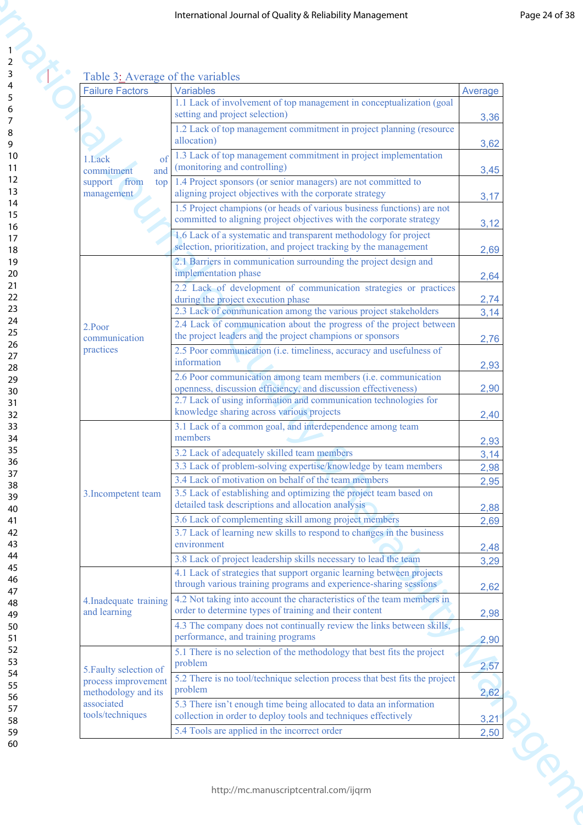## Table 3: Average of the variables

|                                |                                               | International Journal of Quality & Reliability Management                                                                                  |                       |
|--------------------------------|-----------------------------------------------|--------------------------------------------------------------------------------------------------------------------------------------------|-----------------------|
|                                |                                               |                                                                                                                                            |                       |
|                                |                                               |                                                                                                                                            |                       |
|                                |                                               | Table 3: Average of the variables                                                                                                          |                       |
| <b>Failure Factors</b>         |                                               | <b>Variables</b>                                                                                                                           | Average               |
|                                |                                               | 1.1 Lack of involvement of top management in conceptualization (goal<br>setting and project selection)                                     | 3,36                  |
|                                |                                               | 1.2 Lack of top management commitment in project planning (resource                                                                        |                       |
|                                |                                               | allocation)                                                                                                                                | 3,62                  |
| 1.Lack<br>commitment           | of<br>and                                     | 1.3 Lack of top management commitment in project implementation<br>(monitoring and controlling)                                            | 3,45                  |
| support                        | from<br>top                                   | 1.4 Project sponsors (or senior managers) are not committed to                                                                             |                       |
| management                     |                                               | aligning project objectives with the corporate strategy<br>1.5 Project champions (or heads of various business functions) are not          | 3,17                  |
|                                |                                               | committed to aligning project objectives with the corporate strategy                                                                       | 3,12                  |
|                                |                                               | 1.6 Lack of a systematic and transparent methodology for project<br>selection, prioritization, and project tracking by the management      |                       |
|                                |                                               | 2.1 Barriers in communication surrounding the project design and                                                                           | 2,69                  |
|                                |                                               | implementation phase                                                                                                                       | 2,64                  |
|                                |                                               | 2.2 Lack of development of communication strategies or practices<br>during the project execution phase                                     | 2,74                  |
|                                |                                               | 2.3 Lack of communication among the various project stakeholders                                                                           | 3,14                  |
| 2.Poor<br>communication        |                                               | 2.4 Lack of communication about the progress of the project between<br>the project leaders and the project champions or sponsors           | 2,76                  |
| practices                      |                                               | 2.5 Poor communication (i.e. timeliness, accuracy and usefulness of                                                                        |                       |
|                                |                                               | information<br>2.6 Poor communication among team members (i.e. communication                                                               | 2,93                  |
|                                |                                               | openness, discussion efficiency, and discussion effectiveness)                                                                             | 2,90                  |
|                                |                                               | 2.7 Lack of using information and communication technologies for<br>knowledge sharing across various projects                              | 2,40                  |
|                                |                                               | 3.1 Lack of a common goal, and interdependence among team                                                                                  |                       |
|                                |                                               | members<br>3.2 Lack of adequately skilled team members                                                                                     | 2,93                  |
|                                |                                               | 3.3 Lack of problem-solving expertise/knowledge by team members                                                                            | 3,14<br>2,98          |
|                                |                                               | 3.4 Lack of motivation on behalf of the team members                                                                                       | 2,95                  |
| 3. Incompetent team            |                                               | 3.5 Lack of establishing and optimizing the project team based on<br>detailed task descriptions and allocation analysis                    | 2,88                  |
|                                |                                               | 3.6 Lack of complementing skill among project members                                                                                      | 2,69                  |
|                                |                                               | 3.7 Lack of learning new skills to respond to changes in the business<br>environment                                                       |                       |
|                                |                                               | 3.8 Lack of project leadership skills necessary to lead the team                                                                           | 2,48<br>3,29          |
|                                |                                               | 4.1 Lack of strategies that support organic learning between projects<br>through various training programs and experience-sharing sessions |                       |
|                                | 4. Inadequate training<br>and learning        | 4.2 Not taking into account the characteristics of the team members in                                                                     | 2,62                  |
|                                |                                               | order to determine types of training and their content                                                                                     | 2,98                  |
|                                |                                               | 4.3 The company does not continually review the links between skills,<br>performance, and training programs                                | 2,90                  |
|                                |                                               | 5.1 There is no selection of the methodology that best fits the project                                                                    |                       |
|                                | 5. Faulty selection of<br>process improvement | problem<br>5.2 There is no tool/technique selection process that best fits the project                                                     | 2,57                  |
| methodology and its            |                                               | problem                                                                                                                                    | 2,62                  |
| associated<br>tools/techniques |                                               | 5.3 There isn't enough time being allocated to data an information<br>collection in order to deploy tools and techniques effectively       |                       |
|                                |                                               | 5.4 Tools are applied in the incorrect order                                                                                               | 3,21<br>2,50<br>NIVOY |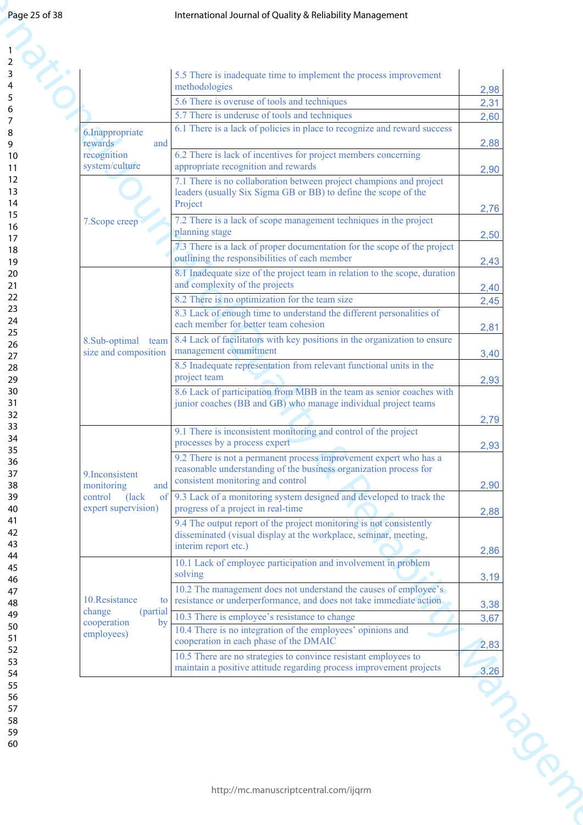| Page 25 of 38 |                                          | International Journal of Quality & Reliability Management                                                                               |               |
|---------------|------------------------------------------|-----------------------------------------------------------------------------------------------------------------------------------------|---------------|
|               |                                          |                                                                                                                                         |               |
|               |                                          |                                                                                                                                         |               |
| 3             |                                          | 5.5 There is inadequate time to implement the process improvement                                                                       |               |
|               |                                          | methodologies<br>5.6 There is overuse of tools and techniques                                                                           | 2,98          |
|               |                                          | 5.7 There is underuse of tools and techniques                                                                                           | 2,31<br>2,60  |
|               | 6. Inappropriate                         | 6.1 There is a lack of policies in place to recognize and reward success                                                                |               |
|               | rewards<br>and                           |                                                                                                                                         | 2,88          |
|               | recognition<br>system/culture            | 6.2 There is lack of incentives for project members concerning<br>appropriate recognition and rewards                                   | 2,90          |
|               |                                          | 7.1 There is no collaboration between project champions and project                                                                     |               |
|               |                                          | leaders (usually Six Sigma GB or BB) to define the scope of the<br>Project                                                              |               |
|               | 7. Scope creep                           | 7.2 There is a lack of scope management techniques in the project                                                                       | 2,76          |
|               |                                          | planning stage                                                                                                                          | 2,50          |
|               |                                          | 7.3 There is a lack of proper documentation for the scope of the project                                                                |               |
|               |                                          | outlining the responsibilities of each member<br>8.1 Inadequate size of the project team in relation to the scope, duration             | 2,43          |
|               |                                          | and complexity of the projects                                                                                                          | 2,40          |
|               |                                          | 8.2 There is no optimization for the team size                                                                                          | 2,45          |
|               |                                          | 8.3 Lack of enough time to understand the different personalities of<br>each member for better team cohesion                            | 2,81          |
|               | 8.Sub-optimal<br>team                    | 8.4 Lack of facilitators with key positions in the organization to ensure                                                               |               |
|               | size and composition                     | management commitment                                                                                                                   | 3,40          |
|               |                                          | 8.5 Inadequate representation from relevant functional units in the<br>project team                                                     | 2,93          |
|               |                                          | 8.6 Lack of participation from MBB in the team as senior coaches with                                                                   |               |
|               |                                          | junior coaches (BB and GB) who manage individual project teams                                                                          |               |
|               |                                          | 9.1 There is inconsistent monitoring and control of the project                                                                         | 2,79          |
|               |                                          | processes by a process expert                                                                                                           | 2,93          |
|               |                                          | 9.2 There is not a permanent process improvement expert who has a                                                                       |               |
|               | 9. Inconsistent<br>monitoring<br>and     | reasonable understanding of the business organization process for<br>consistent monitoring and control                                  | 2,90          |
|               | (lack<br>of<br>control                   | 9.3 Lack of a monitoring system designed and developed to track the                                                                     |               |
|               | expert supervision)                      | progress of a project in real-time                                                                                                      | 2,88          |
|               |                                          | 9.4 The output report of the project monitoring is not consistently<br>disseminated (visual display at the workplace, seminar, meeting, |               |
|               |                                          | interim report etc.)                                                                                                                    | 2,86          |
|               |                                          | 10.1 Lack of employee participation and involvement in problem<br>solving                                                               |               |
|               |                                          | 10.2 The management does not understand the causes of employee's                                                                        | 3,19          |
|               | 10.Resistance<br>to                      | resistance or underperformance, and does not take immediate action                                                                      | 3,38          |
|               | change<br>(partial)<br>cooperation<br>by | 10.3 There is employee's resistance to change                                                                                           | 3,67          |
|               | employees)                               | 10.4 There is no integration of the employees' opinions and<br>cooperation in each phase of the DMAIC                                   | 2,83          |
|               |                                          | 10.5 There are no strategies to convince resistant employees to                                                                         |               |
|               |                                          | maintain a positive attitude regarding process improvement projects                                                                     | 3,26<br>INDON |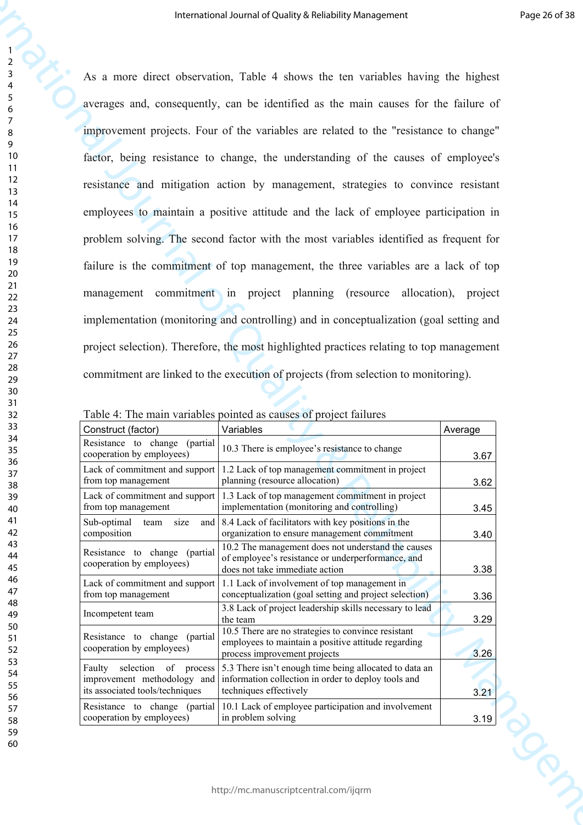60

1

**IDENTIFY (2008) DESCRETE CONSUMPATION**  $\mu$  and  $\mu$  and  $\mu$  and  $\mu$  and  $\mu$  and  $\mu$  and  $\mu$  and  $\mu$  and  $\mu$  and  $\mu$  and  $\mu$  and  $\mu$  and  $\mu$  and  $\mu$  and  $\mu$  and  $\mu$  and  $\mu$  and  $\mu$  and  $\mu$  and  $\mu$  and As a more direct observation, Table 4 shows the ten variables having the highest averages and, consequently, can be identified as the main causes for the failure of improvement projects. Four of the variables are related to the "resistance to change" factor, being resistance to change, the understanding of the causes of employee's resistance and mitigation action by management, strategies to convince resistant employees to maintain a positive attitude and the lack of employee participation in problem solving. The second factor with the most variables identified as frequent for failure is the commitment of top management, the three variables are a lack of top management commitment in project planning (resource allocation), project implementation (monitoring and controlling) and in conceptualization (goal setting and project selection). Therefore, the most highlighted practices relating to top management commitment are linked to the execution of projects (from selection to monitoring).

| Table 4: The main variables pointed as causes of project failures |  |  |  |
|-------------------------------------------------------------------|--|--|--|
|                                                                   |  |  |  |

|                                                                                                  | I dole +. The main variables pointed as causes of project families                                                                        |         |
|--------------------------------------------------------------------------------------------------|-------------------------------------------------------------------------------------------------------------------------------------------|---------|
| Construct (factor)                                                                               | Variables                                                                                                                                 | Average |
| Resistance to change<br>(partial)<br>cooperation by employees)                                   | 10.3 There is employee's resistance to change                                                                                             | 3.67    |
| from top management                                                                              | Lack of commitment and support $\vert$ 1.2 Lack of top management commitment in project<br>planning (resource allocation)                 | 3.62    |
| Lack of commitment and support<br>from top management                                            | 1.3 Lack of top management commitment in project<br>implementation (monitoring and controlling)                                           | 3.45    |
| Sub-optimal<br>team<br>size<br>composition                                                       | and $\vert$ 8.4 Lack of facilitators with key positions in the<br>organization to ensure management commitment                            | 3.40    |
| Resistance to change (partial<br>cooperation by employees)                                       | 10.2 The management does not understand the causes<br>of employee's resistance or underperformance, and<br>does not take immediate action | 3.38    |
| Lack of commitment and support<br>from top management                                            | 1.1 Lack of involvement of top management in<br>conceptualization (goal setting and project selection)                                    | 3.36    |
| Incompetent team                                                                                 | 3.8 Lack of project leadership skills necessary to lead<br>the team                                                                       | 3.29    |
| Resistance to change (partial<br>cooperation by employees)                                       | 10.5 There are no strategies to convince resistant<br>employees to maintain a positive attitude regarding<br>process improvement projects | 3.26    |
| Faulty selection<br>of process<br>improvement methodology and<br>its associated tools/techniques | 5.3 There isn't enough time being allocated to data an<br>information collection in order to deploy tools and<br>techniques effectively   | 3.21    |
| Resistance to change (partial)<br>cooperation by employees)                                      | 10.1 Lack of employee participation and involvement<br>in problem solving                                                                 | 3.19    |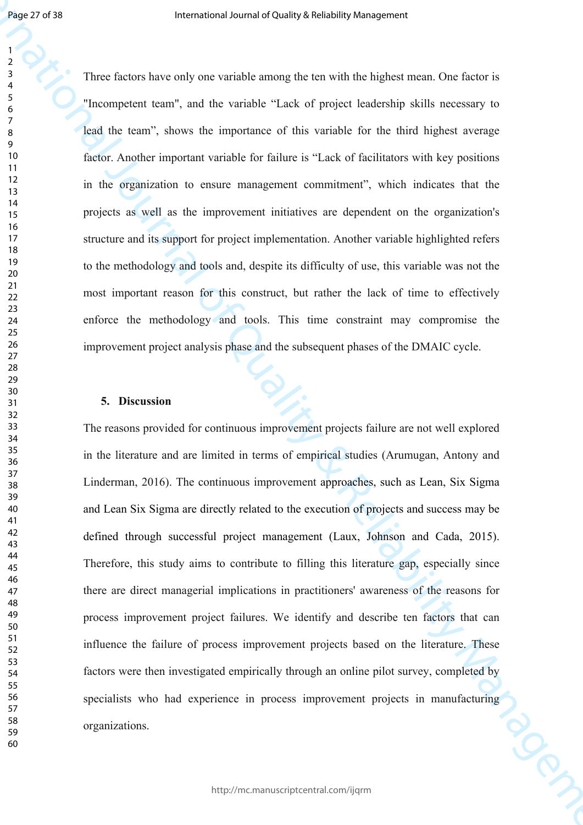Three factors have only one variable among the ten with the highest mean. One factor is "Incompetent team", and the variable "Lack of project leadership skills necessary to lead the team", shows the importance of this variable for the third highest average factor. Another important variable for failure is "Lack of facilitators with key positions in the organization to ensure management commitment", which indicates that the projects as well as the improvement initiatives are dependent on the organization's structure and its support for project implementation. Another variable highlighted refers to the methodology and tools and, despite its difficulty of use, this variable was not the most important reason for this construct, but rather the lack of time to effectively enforce the methodology and tools. This time constraint may compromise the improvement project analysis phase and the subsequent phases of the DMAIC cycle.

## **5. Discussion**

**International occurs of the higher stress by one candidate means the service the highest mean.** One forces is a computer start, and be variable a mean the highest mean One forces is the Management start, and be variable The reasons provided for continuous improvement projects failure are not well explored in the literature and are limited in terms of empirical studies (Arumugan, Antony and Linderman, 2016). The continuous improvement approaches, such as Lean, Six Sigma and Lean Six Sigma are directly related to the execution of projects and success may be defined through successful project management (Laux, Johnson and Cada, 2015). Therefore, this study aims to contribute to filling this literature gap, especially since there are direct managerial implications in practitioners' awareness of the reasons for process improvement project failures. We identify and describe ten factors that can influence the failure of process improvement projects based on the literature. These factors were then investigated empirically through an online pilot survey, completed by specialists who had experience in process improvement projects in manufacturing<br>organizations. organizations.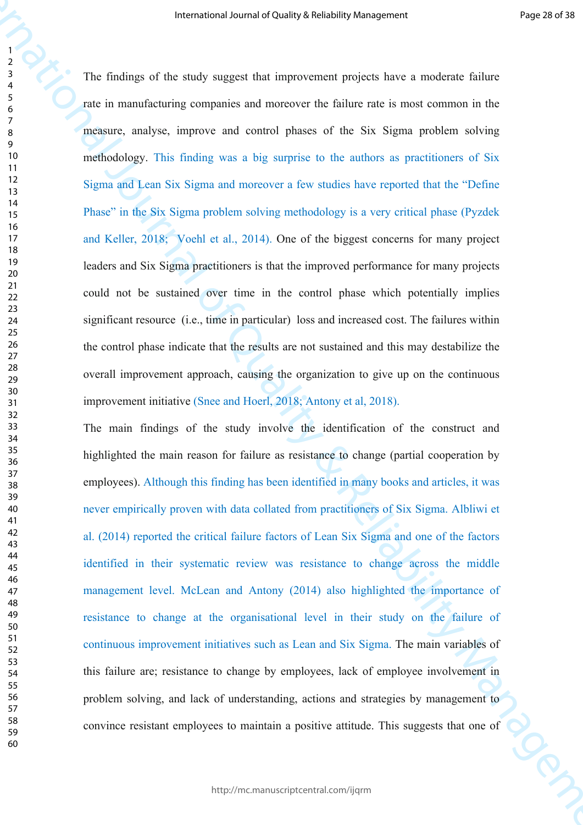**IDENTIFY THE CONSULATION** (The study of Reliability American Expect of The Constraint of The Constraint Constraint Constraint Constraint Constraint Constraint Constraint Constraint Constraint Constraint Constraint Constr The findings of the study suggest that improvement projects have a moderate failure rate in manufacturing companies and moreover the failure rate is most common in the measure, analyse, improve and control phases of the Six Sigma problem solving methodology. This finding was a big surprise to the authors as practitioners of Six Sigma and Lean Six Sigma and moreover a few studies have reported that the "Define Phase" in the Six Sigma problem solving methodology is a very critical phase (Pyzdek and Keller, 2018; Voehl et al., 2014). One of the biggest concerns for many project leaders and Six Sigma practitioners is that the improved performance for many projects could not be sustained over time in the control phase which potentially implies significant resource (i.e., time in particular) loss and increased cost. The failures within the control phase indicate that the results are not sustained and this may destabilize the overall improvement approach, causing the organization to give up on the continuous improvement initiative (Snee and Hoerl, 2018; Antony et al, 2018).

The main findings of the study involve the identification of the construct and highlighted the main reason for failure as resistance to change (partial cooperation by employees). Although this finding has been identified in many books and articles, it was never empirically proven with data collated from practitioners of Six Sigma. Albliwi et al. (2014) reported the critical failure factors of Lean Six Sigma and one of the factors identified in their systematic review was resistance to change across the middle management level. McLean and Antony (2014) also highlighted the importance of resistance to change at the organisational level in their study on the failure of continuous improvement initiatives such as Lean and Six Sigma. The main variables of this failure are; resistance to change by employees, lack of employee involvement in problem solving, and lack of understanding, actions and strategies by management to convince resistant employees to maintain a positive attitude. This suggests that one of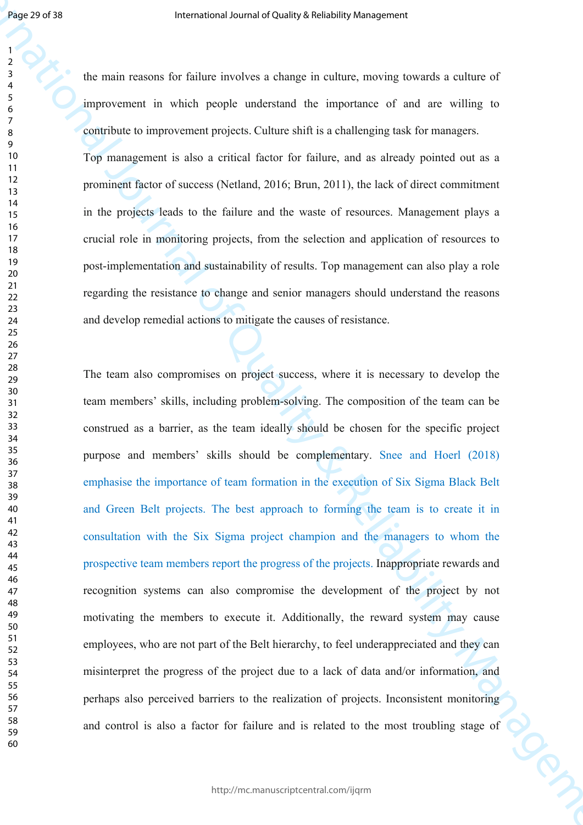the main reasons for failure involves a change in culture, moving towards a culture of improvement in which people understand the importance of and are willing to contribute to improvement projects. Culture shift is a challenging task for managers. Top management is also a critical factor for failure, and as already pointed out as a prominent factor of success (Netland, 2016; Brun, 2011), the lack of direct commitment in the projects leads to the failure and the waste of resources. Management plays a crucial role in monitoring projects, from the selection and application of resources to

post-implementation and sustainability of results. Top management can also play a role regarding the resistance to change and senior managers should understand the reasons and develop remedial actions to mitigate the causes of resistance.

**International occurs of the international occurs are controlled by the sequence of the distribution in the international occurs of the international occurs of the international or international or international or intern** The team also compromises on project success, where it is necessary to develop the team members' skills, including problem-solving. The composition of the team can be construed as a barrier, as the team ideally should be chosen for the specific project purpose and members' skills should be complementary. Snee and Hoerl (2018) emphasise the importance of team formation in the execution of Six Sigma Black Belt and Green Belt projects. The best approach to forming the team is to create it in consultation with the Six Sigma project champion and the managers to whom the prospective team members report the progress of the projects. Inappropriate rewards and recognition systems can also compromise the development of the project by not motivating the members to execute it. Additionally, the reward system may cause employees, who are not part of the Belt hierarchy, to feel underappreciated and they can misinterpret the progress of the project due to a lack of data and/or information, and perhaps also perceived barriers to the realization of projects. Inconsistent monitoring and control is also a factor for failure and is related to the most troubling stage of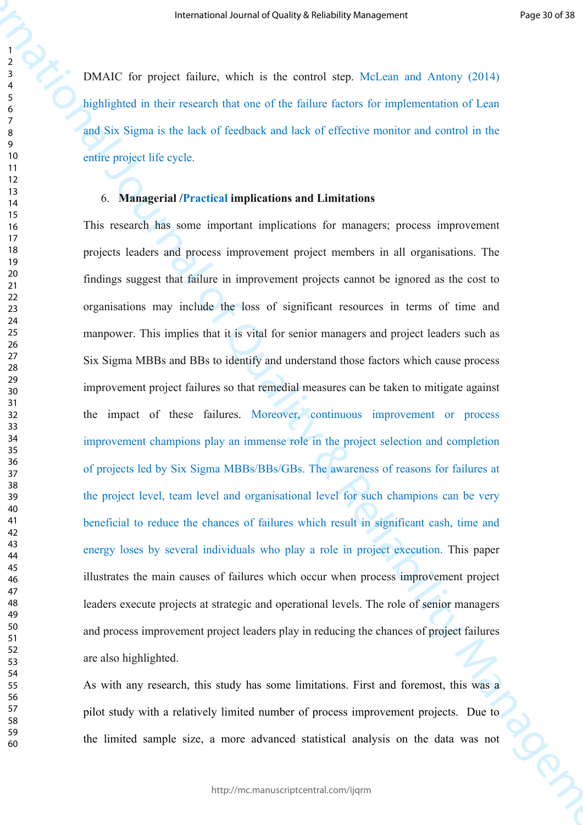DMAIC for project failure, which is the control step. McLean and Antony (2014) highlighted in their research that one of the failure factors for implementation of Lean and Six Sigma is the lack of feedback and lack of effective monitor and control in the entire project life cycle.

## 6. **Managerial /Practical implications and Limitations**

**INTERNATION** (The project follows are distinguished by the space of American Control (D14)<br> **INTERNATION** in the space follow, which is no so are able to follow a method of the projection of T can<br>
Journal of Superior in This research has some important implications for managers; process improvement projects leaders and process improvement project members in all organisations. The findings suggest that failure in improvement projects cannot be ignored as the cost to organisations may include the loss of significant resources in terms of time and manpower. This implies that it is vital for senior managers and project leaders such as Six Sigma MBBs and BBs to identify and understand those factors which cause process improvement project failures so that remedial measures can be taken to mitigate against the impact of these failures. Moreover, continuous improvement or process improvement champions play an immense role in the project selection and completion of projects led by Six Sigma MBBs/BBs/GBs. The awareness of reasons for failures at the project level, team level and organisational level for such champions can be very beneficial to reduce the chances of failures which result in significant cash, time and energy loses by several individuals who play a role in project execution. This paper illustrates the main causes of failures which occur when process improvement project leaders execute projects at strategic and operational levels. The role of senior managers and process improvement project leaders play in reducing the chances of project failures are also highlighted.

As with any research, this study has some limitations. First and foremost, this was a pilot study with a relatively limited number of process improvement projects. Due to the limited sample size, a more advanced statistical analysis on the data was not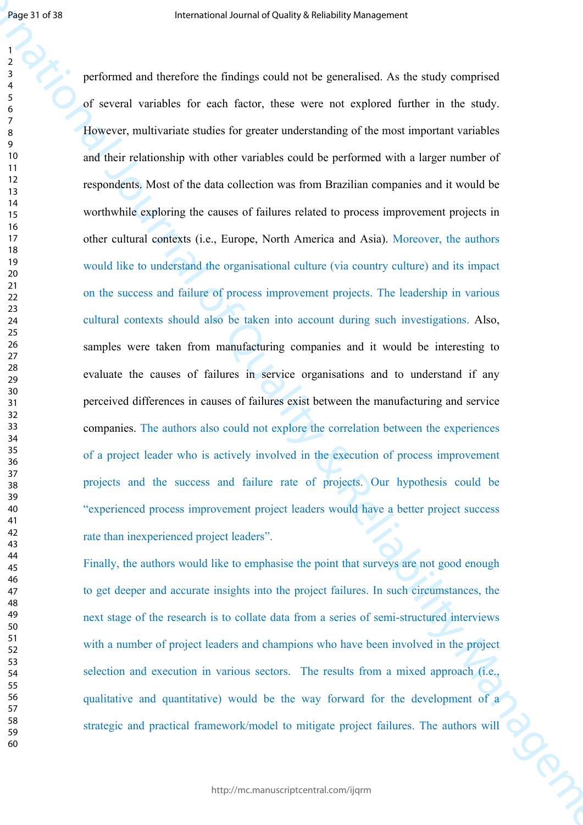**International of the Constraint Scheme Active Constraint Scheme Act As another services of the Constraint Scheme Act As another Scheme Act As another Scheme Act As another Scheme Act As another Scheme Act As another Sche** performed and therefore the findings could not be generalised. As the study comprised of several variables for each factor, these were not explored further in the study. However, multivariate studies for greater understanding of the most important variables and their relationship with other variables could be performed with a larger number of respondents. Most of the data collection was from Brazilian companies and it would be worthwhile exploring the causes of failures related to process improvement projects in other cultural contexts (i.e., Europe, North America and Asia). Moreover, the authors would like to understand the organisational culture (via country culture) and its impact on the success and failure of process improvement projects. The leadership in various cultural contexts should also be taken into account during such investigations. Also, samples were taken from manufacturing companies and it would be interesting to evaluate the causes of failures in service organisations and to understand if any perceived differences in causes of failures exist between the manufacturing and service companies. The authors also could not explore the correlation between the experiences of a project leader who is actively involved in the execution of process improvement projects and the success and failure rate of projects. Our hypothesis could be "experienced process improvement project leaders would have a better project success rate than inexperienced project leaders".

Finally, the authors would like to emphasise the point that surveys are not good enough to get deeper and accurate insights into the project failures. In such circumstances, the next stage of the research is to collate data from a series of semi-structured interviews with a number of project leaders and champions who have been involved in the project selection and execution in various sectors. The results from a mixed approach (i.e., qualitative and quantitative) would be the way forward for the development of a strategic and practical framework/model to mitigate project failures. The authors will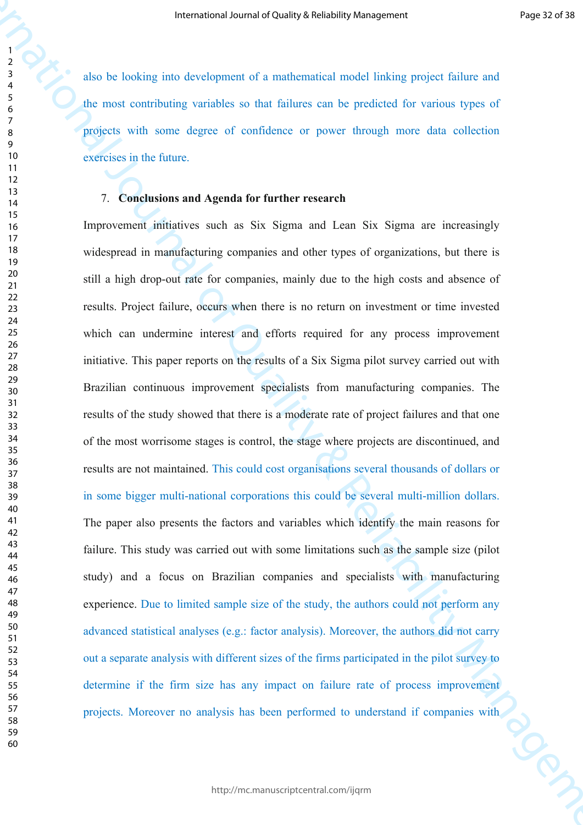also be looking into development of a mathematical model linking project failure and the most contributing variables so that failures can be predicted for various types of projects with some degree of confidence or power through more data collection exercises in the future.

## 7. **Conclusions and Agenda for further research**

**Internetial occurs of Columpy with the properties of the Columpy of the Columb Section 2014<br>
The correct of Columb Section 2014 and Columb Section 2014 and Columb Section 2014<br>
The correct of Columb Section 2014 and Colu** Improvement initiatives such as Six Sigma and Lean Six Sigma are increasingly widespread in manufacturing companies and other types of organizations, but there is still a high drop-out rate for companies, mainly due to the high costs and absence of results. Project failure, occurs when there is no return on investment or time invested which can undermine interest and efforts required for any process improvement initiative. This paper reports on the results of a Six Sigma pilot survey carried out with Brazilian continuous improvement specialists from manufacturing companies. The results of the study showed that there is a moderate rate of project failures and that one of the most worrisome stages is control, the stage where projects are discontinued, and results are not maintained. This could cost organisations several thousands of dollars or in some bigger multi-national corporations this could be several multi-million dollars. The paper also presents the factors and variables which identify the main reasons for failure. This study was carried out with some limitations such as the sample size (pilot study) and a focus on Brazilian companies and specialists with manufacturing experience. Due to limited sample size of the study, the authors could not perform any advanced statistical analyses (e.g.: factor analysis). Moreover, the authors did not carry out a separate analysis with different sizes of the firms participated in the pilot survey to determine if the firm size has any impact on failure rate of process improvement projects. Moreover no analysis has been performed to understand if companies with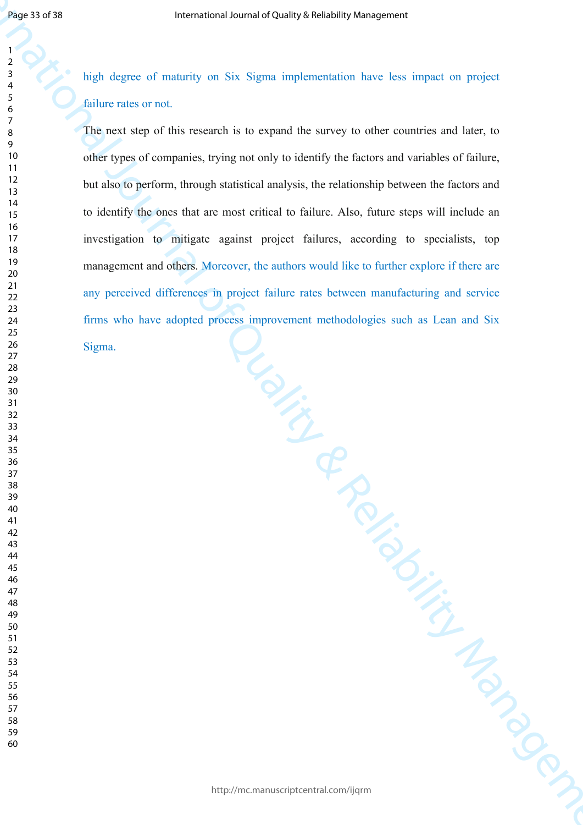high degree of maturity on Six Sigma implementation have less impact on project failure rates or not.

**International of The Uniternational of The United States of Properties of Properties of Sections in the Content<br>
International of Section Section Action Section Management in the Content Section Management of Management** The next step of this research is to expand the survey to other countries and later, to other types of companies, trying not only to identify the factors and variables of failure, but also to perform, through statistical analysis, the relationship between the factors and to identify the ones that are most critical to failure. Also, future steps will include an investigation to mitigate against project failures, according to specialists, top management and others. Moreover, the authors would like to further explore if there are any perceived differences in project failure rates between manufacturing and service firms who have adopted process improvement methodologies such as Lean and Six Sigma.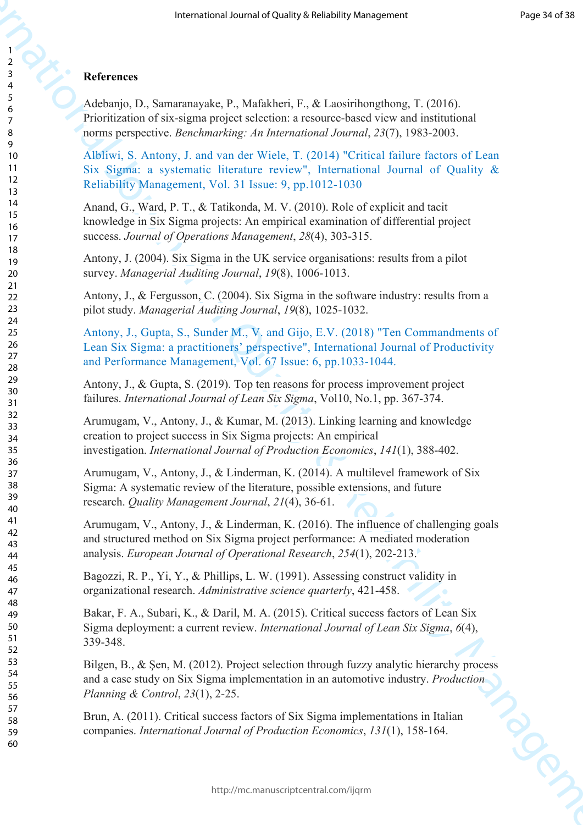## **References**

Adebanjo, D., Samaranayake, P., Mafakheri, F., & Laosirihongthong, T. (2016). Prioritization of six-sigma project selection: a resource-based view and institutional norms perspective. *Benchmarking: An International Journal*, *23*(7), 1983-2003.

Albliwi, S. Antony, J. and van der Wiele, T. (2014) "Critical failure factors of Lean Six Sigma: a systematic literature review", International Journal of Quality & Reliability Management, Vol. 31 Issue: 9, pp.1012-1030

Anand, G., Ward, P. T., & Tatikonda, M. V. (2010). Role of explicit and tacit knowledge in Six Sigma projects: An empirical examination of differential project success. *Journal of Operations Management*, *28*(4), 303-315.

Antony, J. (2004). Six Sigma in the UK service organisations: results from a pilot survey. *Managerial Auditing Journal*, *19*(8), 1006-1013.

Antony, J., & Fergusson, C. (2004). Six Sigma in the software industry: results from a pilot study. *Managerial Auditing Journal*, *19*(8), 1025-1032.

**Processor And Charley & Religion School Space (Fig. 1976)**<br> **Effections C**<br> **Acceleric C**<br> **Acceleric C**<br> **Acceleric C**<br> **Acceleric C**<br> **Acceleric C**<br> **Acceleric C**<br> **Acceleric C**<br> **Acceleric Constrained Transfersion[al](https://www.emeraldinsight.com/author/Albliwi%2C+Saja)** Antony, J., Gupta, S., Sunder M., V. and Gijo, E.V. (2018) "Ten Commandments of Lean Six Sigma: a practitioners' perspective", International Journal of Productivity and Performance Management, Vol. 67 Issue: 6, pp.1033-1044.

Antony, J., & Gupta, S. (2019). Top ten reasons for process improvement project failures. *International Journal of Lean Six Sigma*, Vol10, No.1, pp. 367-374.

Arumugam, V., Antony, J., & Kumar, M. (2013). Linking learning and knowledge creation to project success in Six Sigma projects: An empirical investigation. *International Journal of Production Economics*, *141*(1), 388-402.

Arumugam, V., Antony, J., & Linderman, K. (2014). A multilevel framework of Six Sigma: A systematic review of the literature, possible extensions, and future research. *Quality Management Journal*, *21*(4), 36-61.

Arumugam, V., Antony, J., & Linderman, K. (2016). The influence of challenging goals and structured method on Six Sigma project performance: A mediated moderation analysis. *European Journal of Operational Research*, *254*(1), 202-213.

Bagozzi, R. P., Yi, Y., & Phillips, L. W. (1991). Assessing construct validity in organizational research. *Administrative science quarterly*, 421-458.

Bakar, F. A., Subari, K., & Daril, M. A. (2015). Critical success factors of Lean Six Sigma deployment: a current review. *International Journal of Lean Six Sigma*, *6*(4), 339-348.

Bilgen, B., & Şen, M. (2012). Project selection through fuzzy analytic hierarchy process and a case study on Six Sigma implementation in an automotive industry. *Production Planning & Control*, *23*(1), 2-25.

Brun, A. (2011). Critical success factors of Six Sigma implementations in Italian companies. *International Journal of Production Economics*, *131*(1), 158-164.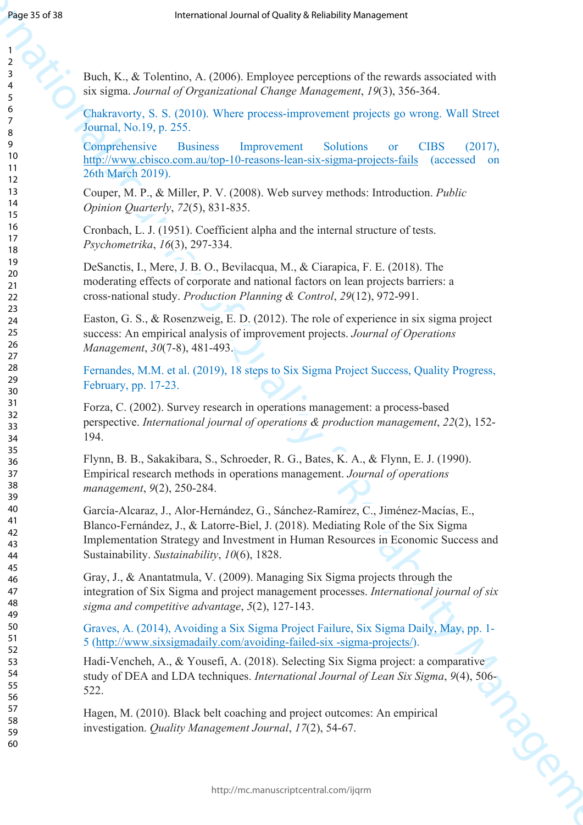| Page 35 of 38              | International Journal of Quality & Reliability Management                                                                                                                                                                                                                                                 |
|----------------------------|-----------------------------------------------------------------------------------------------------------------------------------------------------------------------------------------------------------------------------------------------------------------------------------------------------------|
| 2                          |                                                                                                                                                                                                                                                                                                           |
| 3<br>4<br>5                | Buch, K., & Tolentino, A. (2006). Employee perceptions of the rewards associated with<br>six sigma. Journal of Organizational Change Management, 19(3), 356-364.                                                                                                                                          |
| 6<br>7<br>8                | Chakravorty, S. S. (2010). Where process-improvement projects go wrong. Wall Street<br>Journal, No.19, p. 255.                                                                                                                                                                                            |
| 9<br>10<br>11<br>12        | Comprehensive<br><b>Business</b><br><b>Solutions</b><br>Improvement<br><b>CIBS</b><br>(2017),<br><b>or</b><br>http://www.cbisco.com.au/top-10-reasons-lean-six-sigma-projects-fails<br>(accessed on<br>26th March 2019).                                                                                  |
| 13<br>14<br>15             | Couper, M. P., & Miller, P. V. (2008). Web survey methods: Introduction. <i>Public</i><br>Opinion Quarterly, 72(5), 831-835.                                                                                                                                                                              |
| 16<br>17<br>18             | Cronbach, L. J. (1951). Coefficient alpha and the internal structure of tests.<br>Psychometrika, 16(3), 297-334.                                                                                                                                                                                          |
| 19<br>20<br>21<br>22       | DeSanctis, I., Mere, J. B. O., Bevilacqua, M., & Ciarapica, F. E. (2018). The<br>moderating effects of corporate and national factors on lean projects barriers: a<br>cross-national study. Production Planning & Control, 29(12), 972-991.                                                               |
| 23<br>24<br>25<br>26<br>27 | Easton, G. S., & Rosenzweig, E. D. (2012). The role of experience in six sigma project<br>success: An empirical analysis of improvement projects. Journal of Operations<br>Management, 30(7-8), 481-493.                                                                                                  |
| 28<br>29<br>30             | Fernandes, M.M. et al. (2019), 18 steps to Six Sigma Project Success, Quality Progress,<br>February, pp. 17-23.                                                                                                                                                                                           |
| 31<br>32<br>33<br>34       | Forza, C. (2002). Survey research in operations management: a process-based<br>perspective. International journal of operations & production management, 22(2), 152-<br>194.                                                                                                                              |
| 35<br>36<br>37<br>38<br>39 | Flynn, B. B., Sakakibara, S., Schroeder, R. G., Bates, K. A., & Flynn, E. J. (1990).<br>Empirical research methods in operations management. Journal of operations<br>management, 9(2), 250-284.                                                                                                          |
| 40<br>41<br>42<br>43<br>44 | García-Alcaraz, J., Alor-Hernández, G., Sánchez-Ramírez, C., Jiménez-Macías, E.,<br>Blanco-Fernández, J., & Latorre-Biel, J. (2018). Mediating Role of the Six Sigma<br>Implementation Strategy and Investment in Human Resources in Economic Success and<br>Sustainability. Sustainability, 10(6), 1828. |
| 45<br>46<br>47<br>48<br>49 | Gray, J., & Anantatmula, V. (2009). Managing Six Sigma projects through the<br>integration of Six Sigma and project management processes. International journal of six<br>sigma and competitive advantage, 5(2), 127-143.                                                                                 |
| 50<br>51                   | Graves, A. (2014), Avoiding a Six Sigma Project Failure, Six Sigma Daily, May, pp. 1-<br>5 (http://www.sixsigmadaily.com/avoiding-failed-six -sigma-projects/).                                                                                                                                           |
| 52<br>53<br>54<br>55<br>56 | Hadi-Vencheh, A., & Yousefi, A. (2018). Selecting Six Sigma project: a comparative<br>study of DEA and LDA techniques. International Journal of Lean Six Sigma, 9(4), 506-<br>522.                                                                                                                        |
| 57<br>58<br>59<br>60       | Hagen, M. (2010). Black belt coaching and project outcomes: An empirical<br>investigation. Quality Management Journal, 17(2), 54-67.                                                                                                                                                                      |
|                            | http://mc.manuscriptcentral.com/ijqrm                                                                                                                                                                                                                                                                     |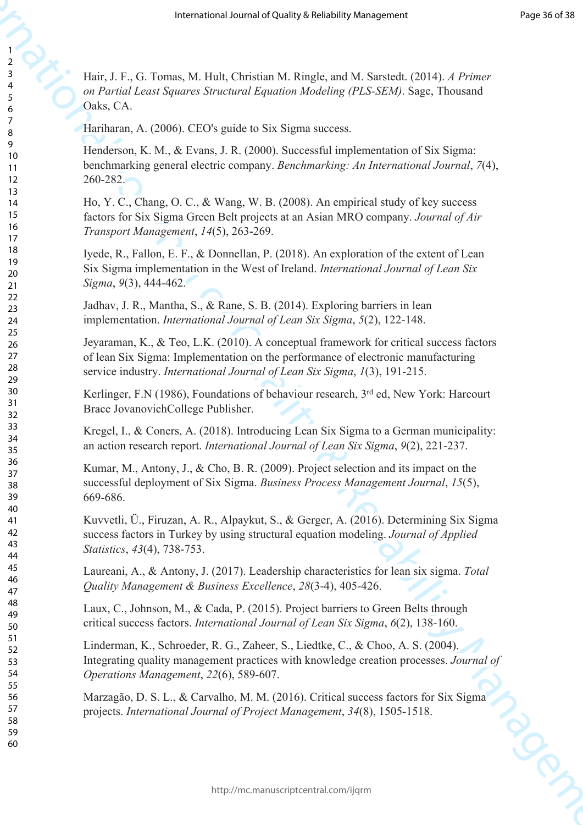Hair, J. F., G. Tomas, M. Hult, Christian M. Ringle, and M. Sarstedt. (2014). *A Primer on Partial Least Squares Structural Equation Modeling (PLS-SEM)*. Sage, Thousand Oaks, CA.

Hariharan, A. (2006). CEO's guide to Six Sigma success.

**IFFRACTION**<br>
International or the Charles Membership Management (ABL)  $A = 0$  The Charles Membership Management (ABL)  $A = 0$  The Charles Membership Management (ABL)  $A = 0$  The Charles Membership Management (ABL)  $A = 0$  Th Henderson, K. M., & Evans, J. R. (2000). Successful implementation of Six Sigma: benchmarking general electric company. *Benchmarking: An International Journal*, *7*(4), 260-282.

Ho, Y. C., Chang, O. C., & Wang, W. B. (2008). An empirical study of key success factors for Six Sigma Green Belt projects at an Asian MRO company. *Journal of Air Transport Management*, *14*(5), 263-269.

Iyede, R., Fallon, E. F., & Donnellan, P. (2018). An exploration of the extent of Lean Six Sigma implementation in the West of Ireland. *International Journal of Lean Six Sigma*, *9*(3), 444-462.

Jadhav, J. R., Mantha, S., & Rane, S. B. (2014). Exploring barriers in lean implementation. *International Journal of Lean Six Sigma*, *5*(2), 122-148.

Jeyaraman, K., & Teo, L.K. (2010). A conceptual framework for critical success factors of lean Six Sigma: Implementation on the performance of electronic manufacturing service industry. *International Journal of Lean Six Sigma*, *1*(3), 191-215.

Kerlinger, F.N (1986), Foundations of behaviour research, 3<sup>rd</sup> ed, New York: Harcourt Brace JovanovichCollege Publisher.

Kregel, I., & Coners, A. (2018). Introducing Lean Six Sigma to a German municipality: an action research report. *International Journal of Lean Six Sigma*, *9*(2), 221-237.

Kumar, M., Antony, J., & Cho, B. R. (2009). Project selection and its impact on the successful deployment of Six Sigma. *Business Process Management Journal*, *15*(5), 669-686.

Kuvvetli, Ü., Firuzan, A. R., Alpaykut, S., & Gerger, A. (2016). Determining Six Sigma success factors in Turkey by using structural equation modeling. *Journal of Applied Statistics*, *43*(4), 738-753.

Laureani, A., & Antony, J. (2017). Leadership characteristics for lean six sigma. *Total Quality Management & Business Excellence*, *28*(3-4), 405-426.

Laux, C., Johnson, M., & Cada, P. (2015). Project barriers to Green Belts through critical success factors. *International Journal of Lean Six Sigma*, *6*(2), 138-160.

Linderman, K., Schroeder, R. G., Zaheer, S., Liedtke, C., & Choo, A. S. (2004). Integrating quality management practices with knowledge creation processes. *Journal of Operations Management*, *22*(6), 589-607.

Marzagão, D. S. L., & Carvalho, M. M. (2016). Critical success factors for Six Sigma<br>projects. International Journal of Project Management, 34(8), 1505-1518. projects. *International Journal of Project Management*, *34*(8), 1505-1518.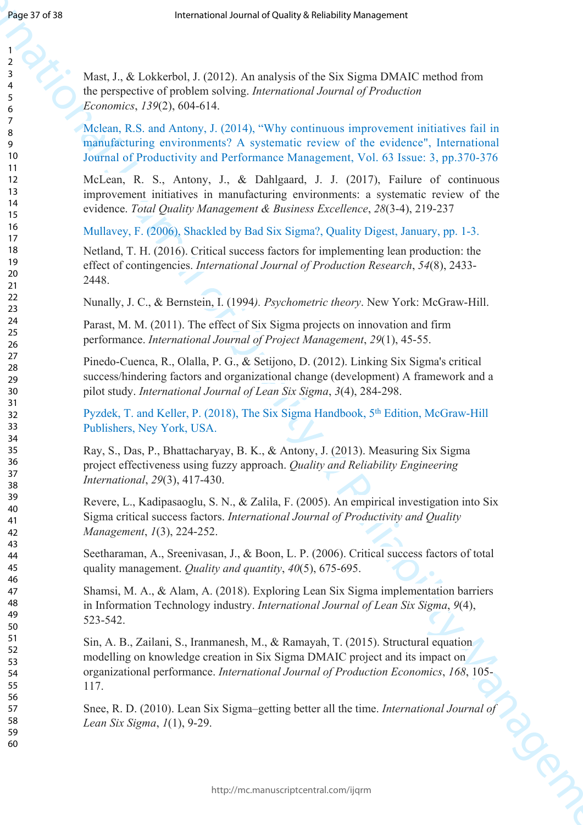Mast, J., & Lokkerbol, J. (2012). An analysis of the Six Sigma DMAIC method from the perspective of problem solving. *International Journal of Production Economics*, *139*(2), 604-614.

Mclean, R.S. and Antony, J. (2014), "Why continuous improvement initiatives fail in manufacturing environments? A systematic review of the evidence", International Journal of Productivity and Performance Management, Vol. 63 Issue: 3, pp.370-376

McLean, R. S., Antony, J., & Dahlgaard, J. J. (2017), Failure of continuous improvement initiatives in manufacturing environments: a systematic review of the evidence. *Total Quality Management & Business Excellence*, *28*(3-4), 219-237

Mullavey, F. (2006), Shackled by Bad Six Sigma?, Quality Digest, January, pp. 1-3.

Netland, T. H. (2016). Critical success factors for implementing lean production: the effect of contingencies. *International Journal of Production Research*, *54*(8), 2433- 2448.

Nunally, J. C., & Bernstein, I. (1994*). Psychometric theory*. New York: McGraw-Hill.

Parast, M. M. (2011). The effect of Six Sigma projects on innovation and firm performance. *International Journal of Project Management*, *29*(1), 45-55.

Pinedo-Cuenca, R., Olalla, P. G., & Setijono, D. (2012). Linking Six Sigma's critical success/hindering factors and organizational change (development) A framework and a pilot study. *International Journal of Lean Six Sigma*, *3*(4), 284-298.

Pyzdek, T. and Keller, P. (2018), The Six Sigma Handbook, 5<sup>th</sup> Edition, McGraw-Hill Publishers, Ney York, USA.

Ray, S., Das, P., Bhattacharyay, B. K., & Antony, J. (2013). Measuring Six Sigma project effectiveness using fuzzy approach. *Quality and Reliability Engineering International*, *29*(3), 417-430.

Revere, L., Kadipasaoglu, S. N., & Zalila, F. (2005). An empirical investigation into Six Sigma critical success factors. *International Journal of Productivity and Quality Management*, *1*(3), 224-252.

Seetharaman, A., Sreenivasan, J., & Boon, L. P. (2006). Critical success factors of total quality management. *Quality and quantity*, *40*(5), 675-695.

Shamsi, M. A., & Alam, A. (2018). Exploring Lean Six Sigma implementation barriers in Information Technology industry. *International Journal of Lean Six Sigma*, *9*(4), 523-542.

**INSERATION**<br> **INTERFERANCE CONTROL AN ANGLE ARE CONTROL AN ANGLE ARE CONTROL AN ANGLE ARE CONTROL AND A CONTROL ARE CONTROL AND A CONTROL ARE CONTROL AND A CONTROL ARE CONTROL AND CONTROL ARE CONTROL AND CONTROL ARE CONT** Sin, A. B., Zailani, S., Iranmanesh, M., & Ramayah, T. (2015). Structural equation modelling on knowledge creation in Six Sigma DMAIC project and its impact on organizational performance. *International Journal of Production Economics*, *168*, 105- 117.

Snee, R. D. (2010). Lean Six Sigma–getting better all the time. *International Journal of Lean Six Sigma, 1*(1), 9-29. *Lean Six Sigma*, *1*(1), 9-29.